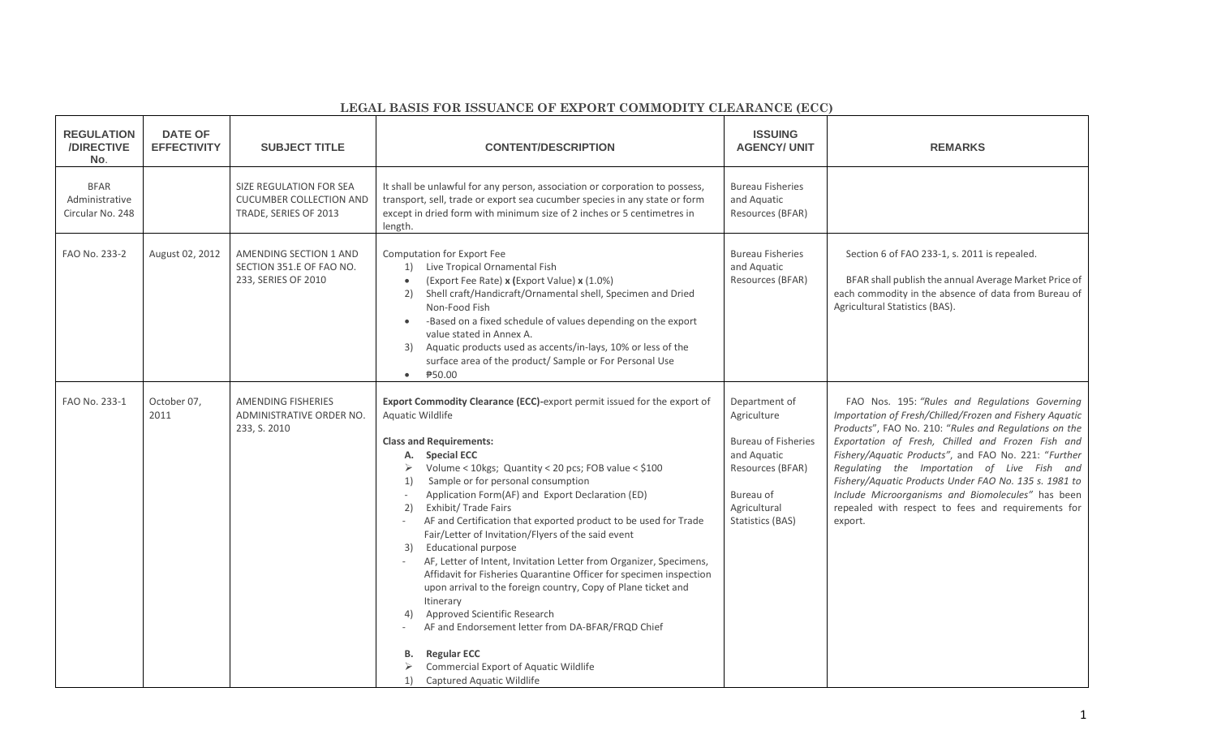| LEGAL BASIS FOR ISSUANCE OF EXPORT COMMODITY CLEARANCE (ECC) |  |  |  |  |  |
|--------------------------------------------------------------|--|--|--|--|--|
|--------------------------------------------------------------|--|--|--|--|--|

| <b>REGULATION</b><br>/DIRECTIVE<br>No.            | <b>DATE OF</b><br><b>EFFECTIVITY</b> | <b>SUBJECT TITLE</b>                                                               | <b>CONTENT/DESCRIPTION</b>                                                                                                                                                                                                                                                                                                                                                                                                                                                                                                                                                                                                                                                                                                                                                                                                                                                                                                                     | <b>ISSUING</b><br><b>AGENCY/ UNIT</b>                                                                                                          | <b>REMARKS</b>                                                                                                                                                                                                                                                                                                                                                                                                                                                                                                |
|---------------------------------------------------|--------------------------------------|------------------------------------------------------------------------------------|------------------------------------------------------------------------------------------------------------------------------------------------------------------------------------------------------------------------------------------------------------------------------------------------------------------------------------------------------------------------------------------------------------------------------------------------------------------------------------------------------------------------------------------------------------------------------------------------------------------------------------------------------------------------------------------------------------------------------------------------------------------------------------------------------------------------------------------------------------------------------------------------------------------------------------------------|------------------------------------------------------------------------------------------------------------------------------------------------|---------------------------------------------------------------------------------------------------------------------------------------------------------------------------------------------------------------------------------------------------------------------------------------------------------------------------------------------------------------------------------------------------------------------------------------------------------------------------------------------------------------|
| <b>BFAR</b><br>Administrative<br>Circular No. 248 |                                      | SIZE REGULATION FOR SEA<br><b>CUCUMBER COLLECTION AND</b><br>TRADE, SERIES OF 2013 | It shall be unlawful for any person, association or corporation to possess,<br>transport, sell, trade or export sea cucumber species in any state or form<br>except in dried form with minimum size of 2 inches or 5 centimetres in<br>length.                                                                                                                                                                                                                                                                                                                                                                                                                                                                                                                                                                                                                                                                                                 | <b>Bureau Fisheries</b><br>and Aquatic<br>Resources (BFAR)                                                                                     |                                                                                                                                                                                                                                                                                                                                                                                                                                                                                                               |
| FAO No. 233-2                                     | August 02, 2012                      | AMENDING SECTION 1 AND<br>SECTION 351.E OF FAO NO.<br>233, SERIES OF 2010          | Computation for Export Fee<br>Live Tropical Ornamental Fish<br>1)<br>(Export Fee Rate) x (Export Value) x (1.0%)<br>$\bullet$<br>Shell craft/Handicraft/Ornamental shell, Specimen and Dried<br>2)<br>Non-Food Fish<br>-Based on a fixed schedule of values depending on the export<br>$\bullet$<br>value stated in Annex A.<br>Aquatic products used as accents/in-lays, 10% or less of the<br>3)<br>surface area of the product/ Sample or For Personal Use<br>₱50.00<br>$\bullet$                                                                                                                                                                                                                                                                                                                                                                                                                                                           | <b>Bureau Fisheries</b><br>and Aquatic<br>Resources (BFAR)                                                                                     | Section 6 of FAO 233-1, s. 2011 is repealed.<br>BFAR shall publish the annual Average Market Price of<br>each commodity in the absence of data from Bureau of<br>Agricultural Statistics (BAS).                                                                                                                                                                                                                                                                                                               |
| FAO No. 233-1                                     | October 07,<br>2011                  | AMENDING FISHERIES<br>ADMINISTRATIVE ORDER NO.<br>233, S. 2010                     | Export Commodity Clearance (ECC)-export permit issued for the export of<br>Aquatic Wildlife<br><b>Class and Requirements:</b><br>A. Special ECC<br>Volume < 10kgs; Quantity < 20 pcs; FOB value < \$100<br>➤<br>Sample or for personal consumption<br>1)<br>Application Form(AF) and Export Declaration (ED)<br>Exhibit/ Trade Fairs<br>2)<br>AF and Certification that exported product to be used for Trade<br>$\sim$<br>Fair/Letter of Invitation/Flyers of the said event<br><b>Educational purpose</b><br>3)<br>AF, Letter of Intent, Invitation Letter from Organizer, Specimens,<br>Affidavit for Fisheries Quarantine Officer for specimen inspection<br>upon arrival to the foreign country, Copy of Plane ticket and<br>Itinerary<br>Approved Scientific Research<br>4)<br>AF and Endorsement letter from DA-BFAR/FRQD Chief<br><b>Regular ECC</b><br>в.<br>Commercial Export of Aquatic Wildlife<br>Captured Aquatic Wildlife<br>1) | Department of<br>Agriculture<br><b>Bureau of Fisheries</b><br>and Aquatic<br>Resources (BFAR)<br>Bureau of<br>Agricultural<br>Statistics (BAS) | FAO Nos. 195: "Rules and Regulations Governing<br>Importation of Fresh/Chilled/Frozen and Fishery Aquatic<br>Products", FAO No. 210: "Rules and Regulations on the<br>Exportation of Fresh, Chilled and Frozen Fish and<br>Fishery/Aquatic Products", and FAO No. 221: "Further<br>Regulating the Importation of Live Fish and<br>Fishery/Aquatic Products Under FAO No. 135 s. 1981 to<br>Include Microorganisms and Biomolecules" has been<br>repealed with respect to fees and requirements for<br>export. |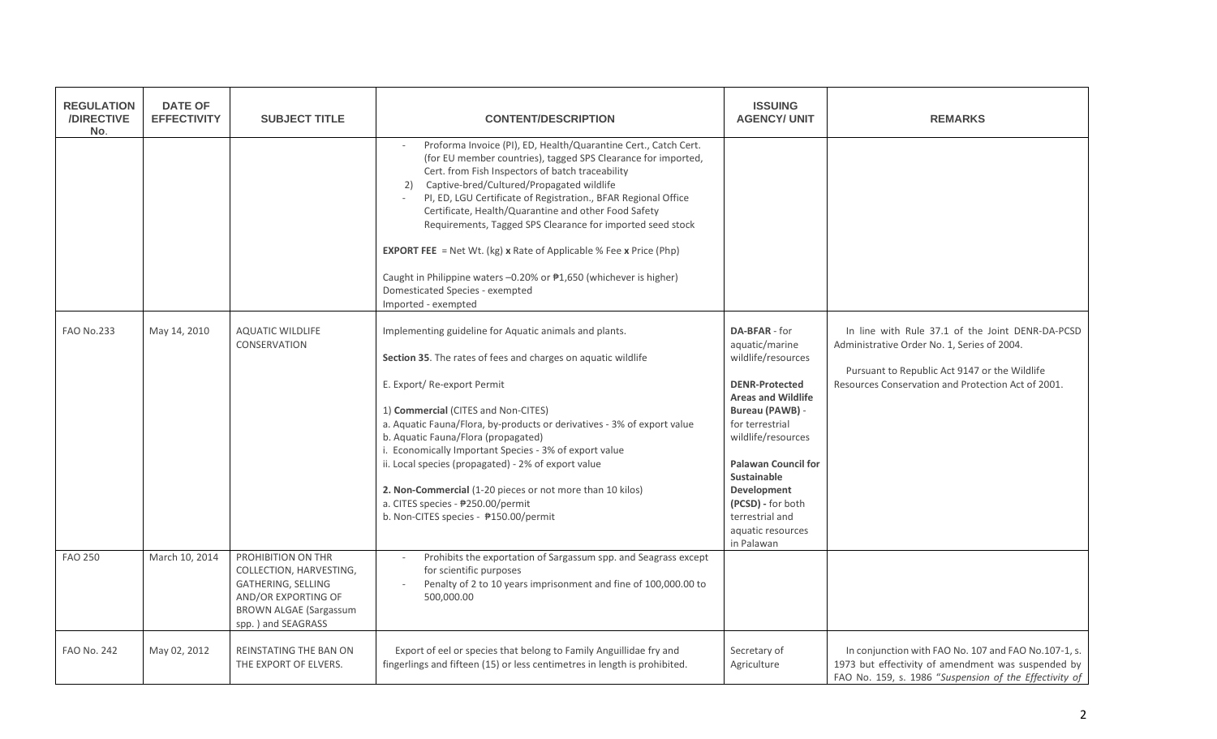| <b>REGULATION</b><br>/DIRECTIVE<br>No. | <b>DATE OF</b><br><b>EFFECTIVITY</b> | <b>SUBJECT TITLE</b>                                                                                                                              | <b>CONTENT/DESCRIPTION</b>                                                                                                                                                                                                                                                                                                                                                                                                                                                                                                                                                                                                                   | <b>ISSUING</b><br><b>AGENCY/ UNIT</b>                                                                                                                                                                                                                                                                                 | <b>REMARKS</b>                                                                                                                                                                                         |
|----------------------------------------|--------------------------------------|---------------------------------------------------------------------------------------------------------------------------------------------------|----------------------------------------------------------------------------------------------------------------------------------------------------------------------------------------------------------------------------------------------------------------------------------------------------------------------------------------------------------------------------------------------------------------------------------------------------------------------------------------------------------------------------------------------------------------------------------------------------------------------------------------------|-----------------------------------------------------------------------------------------------------------------------------------------------------------------------------------------------------------------------------------------------------------------------------------------------------------------------|--------------------------------------------------------------------------------------------------------------------------------------------------------------------------------------------------------|
|                                        |                                      |                                                                                                                                                   | Proforma Invoice (PI), ED, Health/Quarantine Cert., Catch Cert.<br>(for EU member countries), tagged SPS Clearance for imported,<br>Cert. from Fish Inspectors of batch traceability<br>Captive-bred/Cultured/Propagated wildlife<br>2)<br>PI, ED, LGU Certificate of Registration., BFAR Regional Office<br>Certificate, Health/Quarantine and other Food Safety<br>Requirements, Tagged SPS Clearance for imported seed stock<br><b>EXPORT FEE</b> = Net Wt. (kg) x Rate of Applicable % Fee x Price (Php)<br>Caught in Philippine waters -0.20% or #1,650 (whichever is higher)<br>Domesticated Species - exempted<br>Imported - exempted |                                                                                                                                                                                                                                                                                                                       |                                                                                                                                                                                                        |
| <b>FAO No.233</b>                      | May 14, 2010                         | <b>AQUATIC WILDLIFE</b><br>CONSERVATION                                                                                                           | Implementing guideline for Aquatic animals and plants.<br>Section 35. The rates of fees and charges on aquatic wildlife<br>E. Export/Re-export Permit<br>1) Commercial (CITES and Non-CITES)<br>a. Aquatic Fauna/Flora, by-products or derivatives - 3% of export value<br>b. Aquatic Fauna/Flora (propagated)<br>i. Economically Important Species - 3% of export value<br>ii. Local species (propagated) - 2% of export value<br>2. Non-Commercial (1-20 pieces or not more than 10 kilos)<br>a. CITES species - ₱250.00/permit<br>b. Non-CITES species - ₱150.00/permit                                                                   | DA-BFAR - for<br>aquatic/marine<br>wildlife/resources<br><b>DENR-Protected</b><br><b>Areas and Wildlife</b><br>Bureau (PAWB) -<br>for terrestrial<br>wildlife/resources<br><b>Palawan Council for</b><br><b>Sustainable</b><br>Development<br>(PCSD) - for both<br>terrestrial and<br>aquatic resources<br>in Palawan | In line with Rule 37.1 of the Joint DENR-DA-PCSD<br>Administrative Order No. 1, Series of 2004.<br>Pursuant to Republic Act 9147 or the Wildlife<br>Resources Conservation and Protection Act of 2001. |
| <b>FAO 250</b>                         | March 10, 2014                       | PROHIBITION ON THR<br>COLLECTION, HARVESTING,<br>GATHERING, SELLING<br>AND/OR EXPORTING OF<br><b>BROWN ALGAE (Sargassum</b><br>spp.) and SEAGRASS | Prohibits the exportation of Sargassum spp. and Seagrass except<br>for scientific purposes<br>Penalty of 2 to 10 years imprisonment and fine of 100,000.00 to<br>500,000.00                                                                                                                                                                                                                                                                                                                                                                                                                                                                  |                                                                                                                                                                                                                                                                                                                       |                                                                                                                                                                                                        |
| <b>FAO No. 242</b>                     | May 02, 2012                         | REINSTATING THE BAN ON<br>THE EXPORT OF ELVERS.                                                                                                   | Export of eel or species that belong to Family Anguillidae fry and<br>fingerlings and fifteen (15) or less centimetres in length is prohibited.                                                                                                                                                                                                                                                                                                                                                                                                                                                                                              | Secretary of<br>Agriculture                                                                                                                                                                                                                                                                                           | In conjunction with FAO No. 107 and FAO No.107-1, s.<br>1973 but effectivity of amendment was suspended by<br>FAO No. 159, s. 1986 "Suspension of the Effectivity of                                   |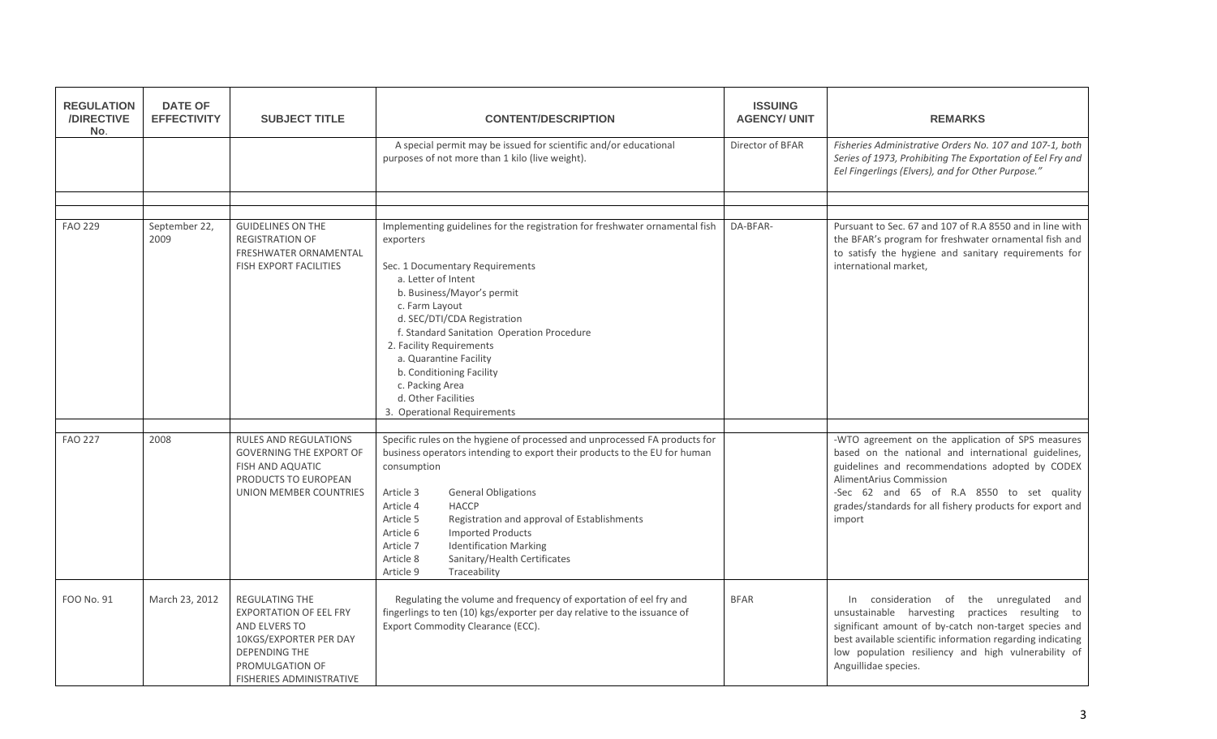| <b>REGULATION</b><br>/DIRECTIVE<br>No. | <b>DATE OF</b><br><b>EFFECTIVITY</b> | <b>SUBJECT TITLE</b>                                                                                                                                                            | <b>CONTENT/DESCRIPTION</b>                                                                                                                                                                                                                                                                                                                                                                                                                                                  | <b>ISSUING</b><br><b>AGENCY/ UNIT</b> | <b>REMARKS</b>                                                                                                                                                                                                                                                                                                   |
|----------------------------------------|--------------------------------------|---------------------------------------------------------------------------------------------------------------------------------------------------------------------------------|-----------------------------------------------------------------------------------------------------------------------------------------------------------------------------------------------------------------------------------------------------------------------------------------------------------------------------------------------------------------------------------------------------------------------------------------------------------------------------|---------------------------------------|------------------------------------------------------------------------------------------------------------------------------------------------------------------------------------------------------------------------------------------------------------------------------------------------------------------|
|                                        |                                      |                                                                                                                                                                                 | A special permit may be issued for scientific and/or educational<br>purposes of not more than 1 kilo (live weight).                                                                                                                                                                                                                                                                                                                                                         | Director of BFAR                      | Fisheries Administrative Orders No. 107 and 107-1, both<br>Series of 1973, Prohibiting The Exportation of Eel Fry and<br>Eel Fingerlings (Elvers), and for Other Purpose."                                                                                                                                       |
|                                        |                                      |                                                                                                                                                                                 |                                                                                                                                                                                                                                                                                                                                                                                                                                                                             |                                       |                                                                                                                                                                                                                                                                                                                  |
| <b>FAO 229</b>                         | September 22,<br>2009                | <b>GUIDELINES ON THE</b><br><b>REGISTRATION OF</b><br>FRESHWATER ORNAMENTAL<br><b>FISH EXPORT FACILITIES</b>                                                                    | Implementing guidelines for the registration for freshwater ornamental fish<br>exporters<br>Sec. 1 Documentary Requirements<br>a. Letter of Intent<br>b. Business/Mayor's permit<br>c. Farm Layout<br>d. SEC/DTI/CDA Registration<br>f. Standard Sanitation Operation Procedure<br>2. Facility Requirements<br>a. Quarantine Facility<br>b. Conditioning Facility<br>c. Packing Area<br>d. Other Facilities<br>3. Operational Requirements                                  | DA-BFAR-                              | Pursuant to Sec. 67 and 107 of R.A 8550 and in line with<br>the BFAR's program for freshwater ornamental fish and<br>to satisfy the hygiene and sanitary requirements for<br>international market.                                                                                                               |
| <b>FAO 227</b>                         | 2008                                 | RULES AND REGULATIONS<br><b>GOVERNING THE EXPORT OF</b><br>FISH AND AQUATIC<br>PRODUCTS TO EUROPEAN<br>UNION MEMBER COUNTRIES                                                   | Specific rules on the hygiene of processed and unprocessed FA products for<br>business operators intending to export their products to the EU for human<br>consumption<br>Article 3<br><b>General Obligations</b><br>Article 4<br><b>HACCP</b><br>Article 5<br>Registration and approval of Establishments<br>Article 6<br><b>Imported Products</b><br>Article 7<br><b>Identification Marking</b><br>Sanitary/Health Certificates<br>Article 8<br>Article 9<br>Traceability |                                       | -WTO agreement on the application of SPS measures<br>based on the national and international guidelines,<br>guidelines and recommendations adopted by CODEX<br><b>AlimentArius Commission</b><br>-Sec 62 and 65 of R.A 8550 to set quality<br>grades/standards for all fishery products for export and<br>import |
| FOO No. 91                             | March 23, 2012                       | <b>REGULATING THE</b><br><b>EXPORTATION OF EEL FRY</b><br>AND ELVERS TO<br>10KGS/EXPORTER PER DAY<br><b>DEPENDING THE</b><br>PROMULGATION OF<br><b>FISHERIES ADMINISTRATIVE</b> | Regulating the volume and frequency of exportation of eel fry and<br>fingerlings to ten (10) kgs/exporter per day relative to the issuance of<br>Export Commodity Clearance (ECC).                                                                                                                                                                                                                                                                                          | <b>BFAR</b>                           | consideration of<br>the unregulated<br>and<br>$\ln$<br>unsustainable harvesting practices resulting to<br>significant amount of by-catch non-target species and<br>best available scientific information regarding indicating<br>low population resiliency and high vulnerability of<br>Anguillidae species.     |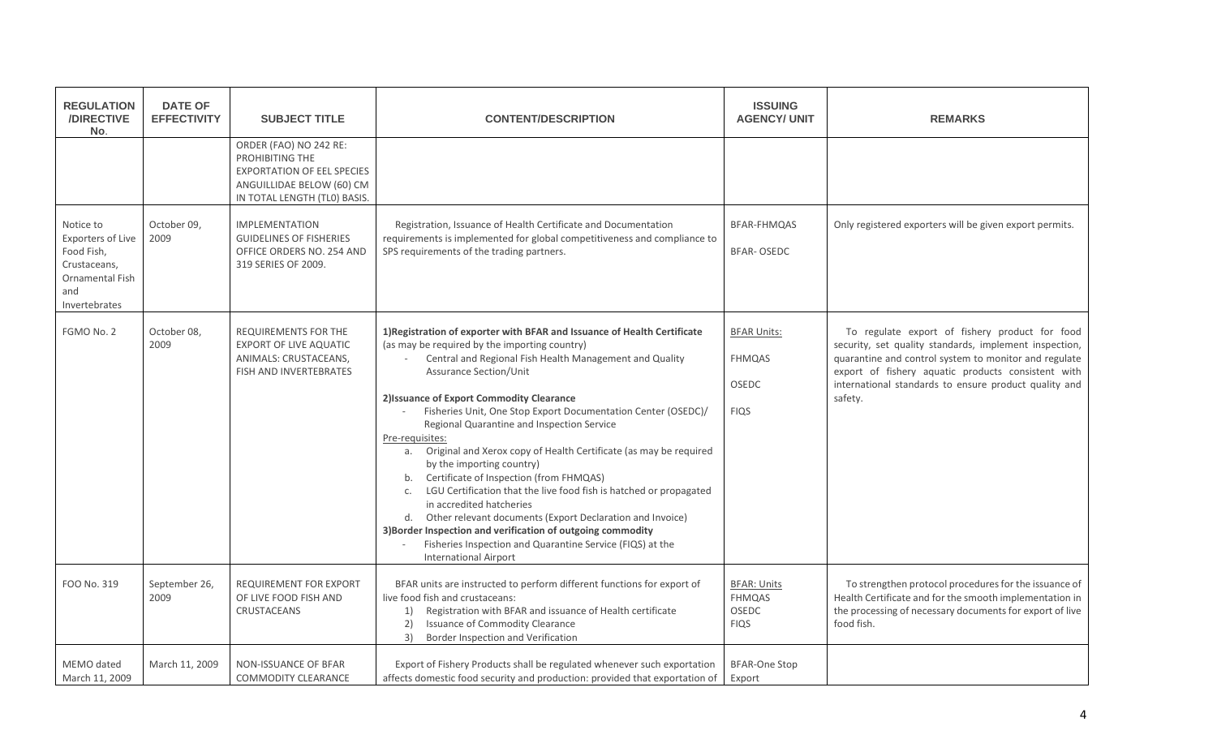| <b>REGULATION</b><br>/DIRECTIVE<br>No.                                                                                | <b>DATE OF</b><br><b>EFFECTIVITY</b> | <b>SUBJECT TITLE</b>                                                                                                                        | <b>CONTENT/DESCRIPTION</b>                                                                                                                                                                                                                                                                                                                                                                                                                                                                                                                                                                                                                                                                                                                                                                                                                                                                                       | <b>ISSUING</b><br><b>AGENCY/ UNIT</b>                       | <b>REMARKS</b>                                                                                                                                                                                                                                                                              |
|-----------------------------------------------------------------------------------------------------------------------|--------------------------------------|---------------------------------------------------------------------------------------------------------------------------------------------|------------------------------------------------------------------------------------------------------------------------------------------------------------------------------------------------------------------------------------------------------------------------------------------------------------------------------------------------------------------------------------------------------------------------------------------------------------------------------------------------------------------------------------------------------------------------------------------------------------------------------------------------------------------------------------------------------------------------------------------------------------------------------------------------------------------------------------------------------------------------------------------------------------------|-------------------------------------------------------------|---------------------------------------------------------------------------------------------------------------------------------------------------------------------------------------------------------------------------------------------------------------------------------------------|
|                                                                                                                       |                                      | ORDER (FAO) NO 242 RE:<br>PROHIBITING THE<br><b>EXPORTATION OF EEL SPECIES</b><br>ANGUILLIDAE BELOW (60) CM<br>IN TOTAL LENGTH (TLO) BASIS. |                                                                                                                                                                                                                                                                                                                                                                                                                                                                                                                                                                                                                                                                                                                                                                                                                                                                                                                  |                                                             |                                                                                                                                                                                                                                                                                             |
| Notice to<br><b>Exporters of Live</b><br>Food Fish,<br>Crustaceans,<br><b>Ornamental Fish</b><br>and<br>Invertebrates | October 09,<br>2009                  | <b>IMPLEMENTATION</b><br><b>GUIDELINES OF FISHERIES</b><br>OFFICE ORDERS NO. 254 AND<br>319 SERIES OF 2009.                                 | Registration, Issuance of Health Certificate and Documentation<br>requirements is implemented for global competitiveness and compliance to<br>SPS requirements of the trading partners.                                                                                                                                                                                                                                                                                                                                                                                                                                                                                                                                                                                                                                                                                                                          | BFAR-FHMQAS<br><b>BFAR-OSEDC</b>                            | Only registered exporters will be given export permits.                                                                                                                                                                                                                                     |
| FGMO No. 2                                                                                                            | October 08,<br>2009                  | <b>REQUIREMENTS FOR THE</b><br><b>EXPORT OF LIVE AQUATIC</b><br>ANIMALS: CRUSTACEANS,<br>FISH AND INVERTEBRATES                             | 1) Registration of exporter with BFAR and Issuance of Health Certificate<br>(as may be required by the importing country)<br>Central and Regional Fish Health Management and Quality<br><b>Assurance Section/Unit</b><br>2) Issuance of Export Commodity Clearance<br>Fisheries Unit, One Stop Export Documentation Center (OSEDC)/<br>Regional Quarantine and Inspection Service<br>Pre-requisites:<br>Original and Xerox copy of Health Certificate (as may be required<br>а.<br>by the importing country)<br>Certificate of Inspection (from FHMQAS)<br>b.<br>LGU Certification that the live food fish is hatched or propagated<br>$\mathsf{C}$ .<br>in accredited hatcheries<br>Other relevant documents (Export Declaration and Invoice)<br>d.<br>3) Border Inspection and verification of outgoing commodity<br>Fisheries Inspection and Quarantine Service (FIQS) at the<br><b>International Airport</b> | <b>BFAR Units:</b><br><b>FHMQAS</b><br>OSEDC<br><b>FIQS</b> | To regulate export of fishery product for food<br>security, set quality standards, implement inspection,<br>quarantine and control system to monitor and regulate<br>export of fishery aquatic products consistent with<br>international standards to ensure product quality and<br>safety. |
| FOO No. 319                                                                                                           | September 26,<br>2009                | REQUIREMENT FOR EXPORT<br>OF LIVE FOOD FISH AND<br>CRUSTACEANS                                                                              | BFAR units are instructed to perform different functions for export of<br>live food fish and crustaceans:<br>Registration with BFAR and issuance of Health certificate<br>1)<br>Issuance of Commodity Clearance<br>2)<br>3)<br>Border Inspection and Verification                                                                                                                                                                                                                                                                                                                                                                                                                                                                                                                                                                                                                                                | <b>BFAR: Units</b><br><b>FHMQAS</b><br>OSEDC<br><b>FIQS</b> | To strengthen protocol procedures for the issuance of<br>Health Certificate and for the smooth implementation in<br>the processing of necessary documents for export of live<br>food fish.                                                                                                  |
| MEMO dated<br>March 11, 2009                                                                                          | March 11, 2009                       | NON-ISSUANCE OF BFAR<br><b>COMMODITY CLEARANCE</b>                                                                                          | Export of Fishery Products shall be regulated whenever such exportation<br>affects domestic food security and production: provided that exportation of                                                                                                                                                                                                                                                                                                                                                                                                                                                                                                                                                                                                                                                                                                                                                           | <b>BFAR-One Stop</b><br>Export                              |                                                                                                                                                                                                                                                                                             |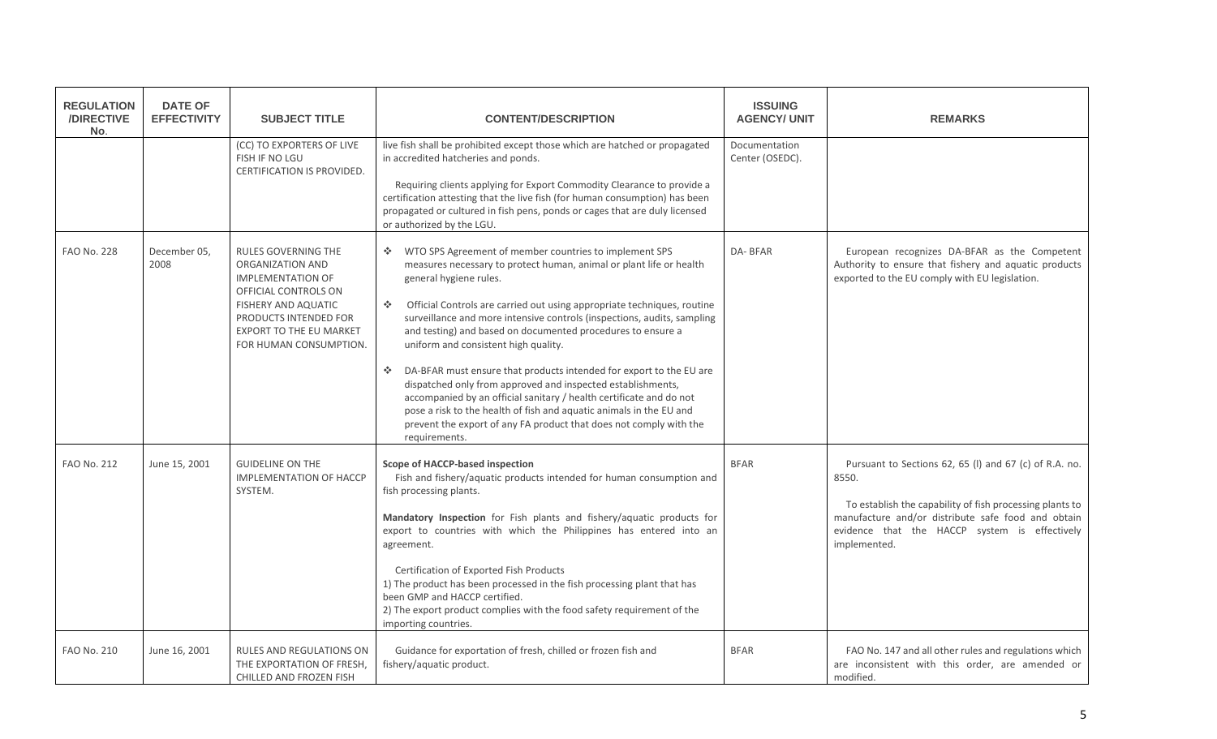| <b>REGULATION</b><br>/DIRECTIVE<br>No. | <b>DATE OF</b><br><b>EFFECTIVITY</b> | <b>SUBJECT TITLE</b>                                                                                                                                                                                           | <b>CONTENT/DESCRIPTION</b>                                                                                                                                                                                                                                                                                                                                                                                                                                                                                                                                                                                                                                                                                                                                                                                                   | <b>ISSUING</b><br><b>AGENCY/ UNIT</b> | <b>REMARKS</b>                                                                                                                                                                                                                                     |
|----------------------------------------|--------------------------------------|----------------------------------------------------------------------------------------------------------------------------------------------------------------------------------------------------------------|------------------------------------------------------------------------------------------------------------------------------------------------------------------------------------------------------------------------------------------------------------------------------------------------------------------------------------------------------------------------------------------------------------------------------------------------------------------------------------------------------------------------------------------------------------------------------------------------------------------------------------------------------------------------------------------------------------------------------------------------------------------------------------------------------------------------------|---------------------------------------|----------------------------------------------------------------------------------------------------------------------------------------------------------------------------------------------------------------------------------------------------|
|                                        |                                      | (CC) TO EXPORTERS OF LIVE<br>FISH IF NO LGU<br>CERTIFICATION IS PROVIDED.                                                                                                                                      | live fish shall be prohibited except those which are hatched or propagated<br>in accredited hatcheries and ponds.<br>Requiring clients applying for Export Commodity Clearance to provide a<br>certification attesting that the live fish (for human consumption) has been<br>propagated or cultured in fish pens, ponds or cages that are duly licensed<br>or authorized by the LGU.                                                                                                                                                                                                                                                                                                                                                                                                                                        | Documentation<br>Center (OSEDC).      |                                                                                                                                                                                                                                                    |
| <b>FAO No. 228</b>                     | December 05,<br>2008                 | <b>RULES GOVERNING THE</b><br>ORGANIZATION AND<br><b>IMPLEMENTATION OF</b><br>OFFICIAL CONTROLS ON<br>FISHERY AND AQUATIC<br>PRODUCTS INTENDED FOR<br><b>EXPORT TO THE EU MARKET</b><br>FOR HUMAN CONSUMPTION. | ❖ WTO SPS Agreement of member countries to implement SPS<br>measures necessary to protect human, animal or plant life or health<br>general hygiene rules.<br>Official Controls are carried out using appropriate techniques, routine<br><b>SALE</b><br>surveillance and more intensive controls (inspections, audits, sampling<br>and testing) and based on documented procedures to ensure a<br>uniform and consistent high quality.<br>DA-BFAR must ensure that products intended for export to the EU are<br>Albert C<br>dispatched only from approved and inspected establishments,<br>accompanied by an official sanitary / health certificate and do not<br>pose a risk to the health of fish and aquatic animals in the EU and<br>prevent the export of any FA product that does not comply with the<br>requirements. | DA-BFAR                               | European recognizes DA-BFAR as the Competent<br>Authority to ensure that fishery and aquatic products<br>exported to the EU comply with EU legislation.                                                                                            |
| <b>FAO No. 212</b>                     | June 15, 2001                        | <b>GUIDELINE ON THE</b><br><b>IMPLEMENTATION OF HACCP</b><br>SYSTEM.                                                                                                                                           | Scope of HACCP-based inspection<br>Fish and fishery/aquatic products intended for human consumption and<br>fish processing plants.<br>Mandatory Inspection for Fish plants and fishery/aquatic products for<br>export to countries with which the Philippines has entered into an<br>agreement.<br>Certification of Exported Fish Products<br>1) The product has been processed in the fish processing plant that has<br>been GMP and HACCP certified.<br>2) The export product complies with the food safety requirement of the<br>importing countries.                                                                                                                                                                                                                                                                     | <b>BFAR</b>                           | Pursuant to Sections 62, 65 (I) and 67 (c) of R.A. no.<br>8550.<br>To establish the capability of fish processing plants to<br>manufacture and/or distribute safe food and obtain<br>evidence that the HACCP system is effectively<br>implemented. |
| <b>FAO No. 210</b>                     | June 16, 2001                        | RULES AND REGULATIONS ON<br>THE EXPORTATION OF FRESH,<br>CHILLED AND FROZEN FISH                                                                                                                               | Guidance for exportation of fresh, chilled or frozen fish and<br>fishery/aquatic product.                                                                                                                                                                                                                                                                                                                                                                                                                                                                                                                                                                                                                                                                                                                                    | <b>BFAR</b>                           | FAO No. 147 and all other rules and regulations which<br>are inconsistent with this order, are amended or<br>modified.                                                                                                                             |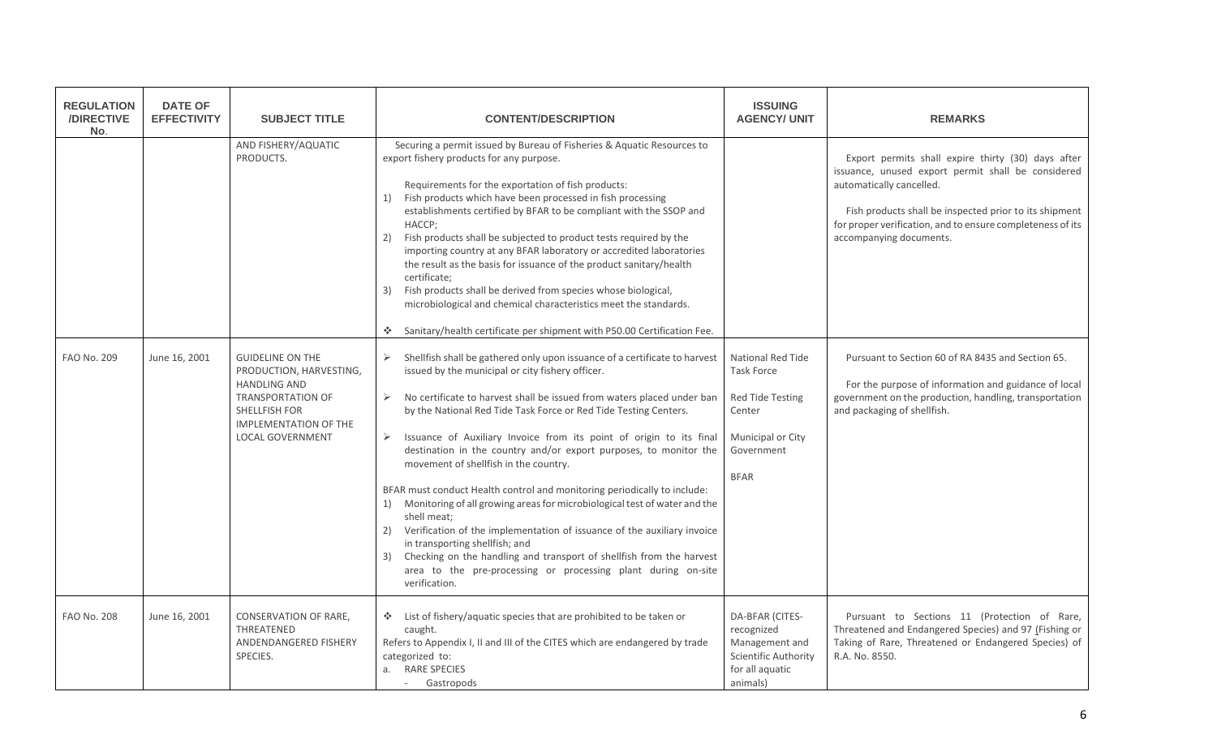| <b>REGULATION</b><br>/DIRECTIVE<br>No. | <b>DATE OF</b><br><b>EFFECTIVITY</b> | <b>SUBJECT TITLE</b>                                                                                                                                                              | <b>CONTENT/DESCRIPTION</b>                                                                                                                                                                                                                                                                                                                                                                                                                                                                                                                                                                                                                                                                                                                                                                                                                                                                                                                                                          | <b>ISSUING</b><br><b>AGENCY/ UNIT</b>                                                                                                | <b>REMARKS</b>                                                                                                                                                                                                                                                                          |
|----------------------------------------|--------------------------------------|-----------------------------------------------------------------------------------------------------------------------------------------------------------------------------------|-------------------------------------------------------------------------------------------------------------------------------------------------------------------------------------------------------------------------------------------------------------------------------------------------------------------------------------------------------------------------------------------------------------------------------------------------------------------------------------------------------------------------------------------------------------------------------------------------------------------------------------------------------------------------------------------------------------------------------------------------------------------------------------------------------------------------------------------------------------------------------------------------------------------------------------------------------------------------------------|--------------------------------------------------------------------------------------------------------------------------------------|-----------------------------------------------------------------------------------------------------------------------------------------------------------------------------------------------------------------------------------------------------------------------------------------|
|                                        |                                      | AND FISHERY/AQUATIC<br>PRODUCTS.                                                                                                                                                  | Securing a permit issued by Bureau of Fisheries & Aquatic Resources to<br>export fishery products for any purpose.<br>Requirements for the exportation of fish products:<br>Fish products which have been processed in fish processing<br>1)<br>establishments certified by BFAR to be compliant with the SSOP and<br>HACCP;<br>Fish products shall be subjected to product tests required by the<br>2)<br>importing country at any BFAR laboratory or accredited laboratories<br>the result as the basis for issuance of the product sanitary/health<br>certificate;<br>Fish products shall be derived from species whose biological,<br>3)<br>microbiological and chemical characteristics meet the standards.<br>Sanitary/health certificate per shipment with P50.00 Certification Fee.<br>÷.                                                                                                                                                                                   |                                                                                                                                      | Export permits shall expire thirty (30) days after<br>issuance, unused export permit shall be considered<br>automatically cancelled.<br>Fish products shall be inspected prior to its shipment<br>for proper verification, and to ensure completeness of its<br>accompanying documents. |
| <b>FAO No. 209</b>                     | June 16, 2001                        | <b>GUIDELINE ON THE</b><br>PRODUCTION, HARVESTING,<br><b>HANDLING AND</b><br><b>TRANSPORTATION OF</b><br>SHELLFISH FOR<br><b>IMPLEMENTATION OF THE</b><br><b>LOCAL GOVERNMENT</b> | Shellfish shall be gathered only upon issuance of a certificate to harvest<br>$\blacktriangleright$<br>issued by the municipal or city fishery officer.<br>No certificate to harvest shall be issued from waters placed under ban<br>➤<br>by the National Red Tide Task Force or Red Tide Testing Centers.<br>$\blacktriangleright$<br>Issuance of Auxiliary Invoice from its point of origin to its final<br>destination in the country and/or export purposes, to monitor the<br>movement of shellfish in the country.<br>BFAR must conduct Health control and monitoring periodically to include:<br>1) Monitoring of all growing areas for microbiological test of water and the<br>shell meat:<br>Verification of the implementation of issuance of the auxiliary invoice<br>2)<br>in transporting shellfish; and<br>3) Checking on the handling and transport of shellfish from the harvest<br>area to the pre-processing or processing plant during on-site<br>verification. | <b>National Red Tide</b><br><b>Task Force</b><br><b>Red Tide Testing</b><br>Center<br>Municipal or City<br>Government<br><b>BFAR</b> | Pursuant to Section 60 of RA 8435 and Section 65.<br>For the purpose of information and guidance of local<br>government on the production, handling, transportation<br>and packaging of shellfish.                                                                                      |
| <b>FAO No. 208</b>                     | June 16, 2001                        | CONSERVATION OF RARE,<br>THREATENED<br>ANDENDANGERED FISHERY<br>SPECIES.                                                                                                          | List of fishery/aquatic species that are prohibited to be taken or<br>A.<br>caught.<br>Refers to Appendix I, II and III of the CITES which are endangered by trade<br>categorized to:<br>a. RARE SPECIES<br>- Gastropods                                                                                                                                                                                                                                                                                                                                                                                                                                                                                                                                                                                                                                                                                                                                                            | DA-BFAR (CITES-<br>recognized<br>Management and<br>Scientific Authority<br>for all aquatic<br>animals)                               | Pursuant to Sections 11 (Protection of Rare,<br>Threatened and Endangered Species) and 97 (Fishing or<br>Taking of Rare, Threatened or Endangered Species) of<br>R.A. No. 8550.                                                                                                         |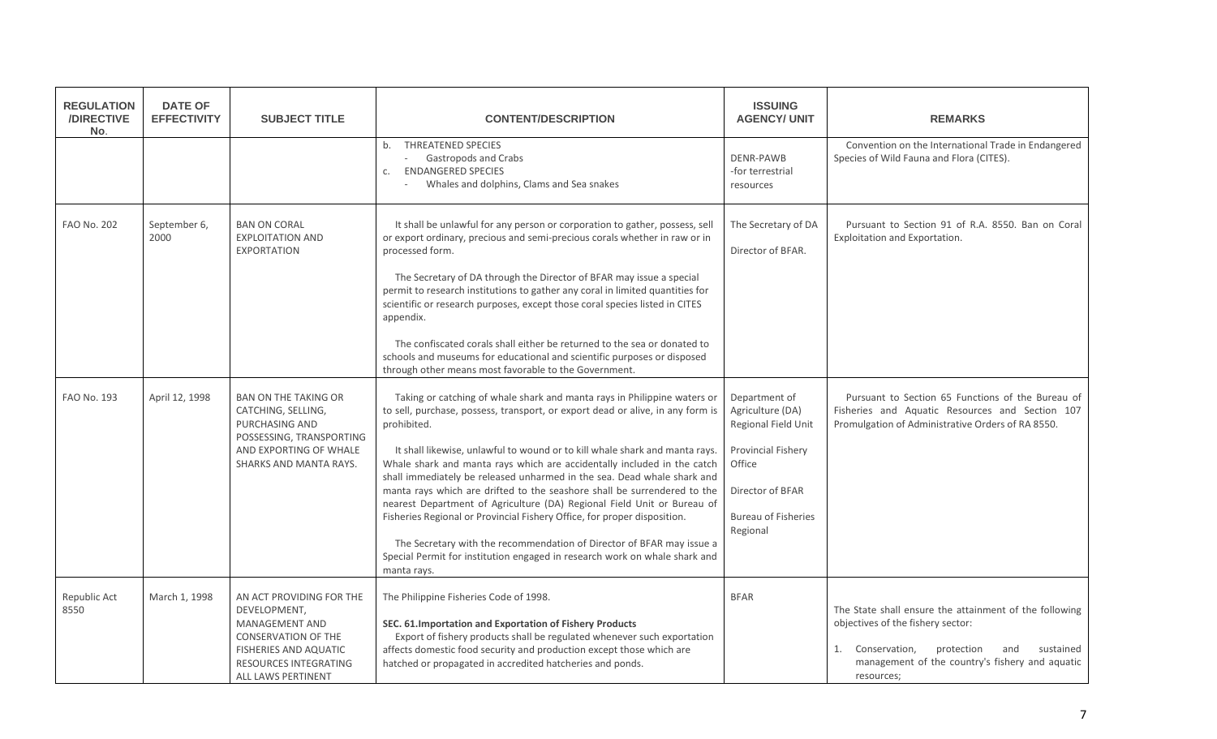| <b>REGULATION</b><br>/DIRECTIVE<br>No. | <b>DATE OF</b><br><b>EFFECTIVITY</b> | <b>SUBJECT TITLE</b>                                                                                                                                                    | <b>CONTENT/DESCRIPTION</b>                                                                                                                                                                                                                                                                                                                                                                                                                                                                                                                                                                                                                                                                                                                                                                                              | <b>ISSUING</b><br><b>AGENCY/ UNIT</b>                                                                                                                         | <b>REMARKS</b>                                                                                                                                                                                                     |
|----------------------------------------|--------------------------------------|-------------------------------------------------------------------------------------------------------------------------------------------------------------------------|-------------------------------------------------------------------------------------------------------------------------------------------------------------------------------------------------------------------------------------------------------------------------------------------------------------------------------------------------------------------------------------------------------------------------------------------------------------------------------------------------------------------------------------------------------------------------------------------------------------------------------------------------------------------------------------------------------------------------------------------------------------------------------------------------------------------------|---------------------------------------------------------------------------------------------------------------------------------------------------------------|--------------------------------------------------------------------------------------------------------------------------------------------------------------------------------------------------------------------|
|                                        |                                      |                                                                                                                                                                         | <b>THREATENED SPECIES</b><br>b.<br>Gastropods and Crabs<br>$\overline{\phantom{a}}$<br><b>ENDANGERED SPECIES</b><br>C.<br>Whales and dolphins, Clams and Sea snakes                                                                                                                                                                                                                                                                                                                                                                                                                                                                                                                                                                                                                                                     | <b>DENR-PAWB</b><br>-for terrestrial<br>resources                                                                                                             | Convention on the International Trade in Endangered<br>Species of Wild Fauna and Flora (CITES).                                                                                                                    |
| <b>FAO No. 202</b>                     | September 6,<br>2000                 | <b>BAN ON CORAL</b><br><b>EXPLOITATION AND</b><br><b>EXPORTATION</b>                                                                                                    | It shall be unlawful for any person or corporation to gather, possess, sell<br>or export ordinary, precious and semi-precious corals whether in raw or in<br>processed form.<br>The Secretary of DA through the Director of BFAR may issue a special<br>permit to research institutions to gather any coral in limited quantities for<br>scientific or research purposes, except those coral species listed in CITES<br>appendix.<br>The confiscated corals shall either be returned to the sea or donated to<br>schools and museums for educational and scientific purposes or disposed<br>through other means most favorable to the Government.                                                                                                                                                                       | The Secretary of DA<br>Director of BFAR.                                                                                                                      | Pursuant to Section 91 of R.A. 8550. Ban on Coral<br>Exploitation and Exportation.                                                                                                                                 |
| FAO No. 193                            | April 12, 1998                       | <b>BAN ON THE TAKING OR</b><br>CATCHING, SELLING,<br><b>PURCHASING AND</b><br>POSSESSING, TRANSPORTING<br>AND EXPORTING OF WHALE<br>SHARKS AND MANTA RAYS.              | Taking or catching of whale shark and manta rays in Philippine waters or<br>to sell, purchase, possess, transport, or export dead or alive, in any form is<br>prohibited.<br>It shall likewise, unlawful to wound or to kill whale shark and manta rays.<br>Whale shark and manta rays which are accidentally included in the catch<br>shall immediately be released unharmed in the sea. Dead whale shark and<br>manta rays which are drifted to the seashore shall be surrendered to the<br>nearest Department of Agriculture (DA) Regional Field Unit or Bureau of<br>Fisheries Regional or Provincial Fishery Office, for proper disposition.<br>The Secretary with the recommendation of Director of BFAR may issue a<br>Special Permit for institution engaged in research work on whale shark and<br>manta rays. | Department of<br>Agriculture (DA)<br><b>Regional Field Unit</b><br>Provincial Fishery<br>Office<br>Director of BFAR<br><b>Bureau of Fisheries</b><br>Regional | Pursuant to Section 65 Functions of the Bureau of<br>Fisheries and Aquatic Resources and Section 107<br>Promulgation of Administrative Orders of RA 8550.                                                          |
| Republic Act<br>8550                   | March 1, 1998                        | AN ACT PROVIDING FOR THE<br>DEVELOPMENT,<br>MANAGEMENT AND<br>CONSERVATION OF THE<br>FISHERIES AND AQUATIC<br><b>RESOURCES INTEGRATING</b><br><b>ALL LAWS PERTINENT</b> | The Philippine Fisheries Code of 1998.<br>SEC. 61. Importation and Exportation of Fishery Products<br>Export of fishery products shall be regulated whenever such exportation<br>affects domestic food security and production except those which are<br>hatched or propagated in accredited hatcheries and ponds.                                                                                                                                                                                                                                                                                                                                                                                                                                                                                                      | <b>BFAR</b>                                                                                                                                                   | The State shall ensure the attainment of the following<br>objectives of the fishery sector:<br>1. Conservation,<br>protection<br>and<br>sustained<br>management of the country's fishery and aquatic<br>resources; |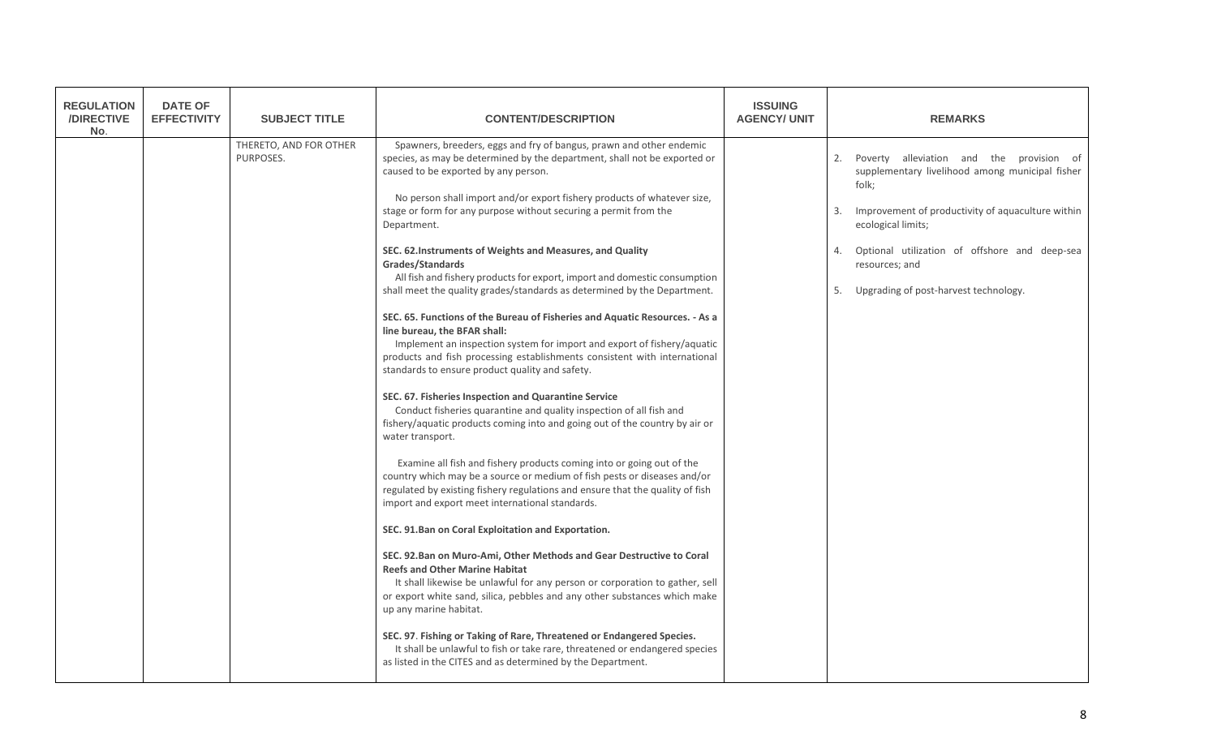| <b>REGULATION</b><br>/DIRECTIVE<br>No. | <b>DATE OF</b><br><b>EFFECTIVITY</b> | <b>SUBJECT TITLE</b>                | <b>CONTENT/DESCRIPTION</b>                                                                                                                                                                                                                                                                                                                                                                                                                                                                                                                                                                                                                                                                                                                                                                                                                                                                                                                                                                                                                                                                                                                                                                                                                                                                                                                                                                                                                                                                                                                                                                                                                                                                                                                                                                                                                                                                                                                                                                                                                | <b>ISSUING</b><br><b>AGENCY/ UNIT</b> | <b>REMARKS</b>                                                                                                                                                                                                                                                                                                      |
|----------------------------------------|--------------------------------------|-------------------------------------|-------------------------------------------------------------------------------------------------------------------------------------------------------------------------------------------------------------------------------------------------------------------------------------------------------------------------------------------------------------------------------------------------------------------------------------------------------------------------------------------------------------------------------------------------------------------------------------------------------------------------------------------------------------------------------------------------------------------------------------------------------------------------------------------------------------------------------------------------------------------------------------------------------------------------------------------------------------------------------------------------------------------------------------------------------------------------------------------------------------------------------------------------------------------------------------------------------------------------------------------------------------------------------------------------------------------------------------------------------------------------------------------------------------------------------------------------------------------------------------------------------------------------------------------------------------------------------------------------------------------------------------------------------------------------------------------------------------------------------------------------------------------------------------------------------------------------------------------------------------------------------------------------------------------------------------------------------------------------------------------------------------------------------------------|---------------------------------------|---------------------------------------------------------------------------------------------------------------------------------------------------------------------------------------------------------------------------------------------------------------------------------------------------------------------|
|                                        |                                      | THERETO, AND FOR OTHER<br>PURPOSES. | Spawners, breeders, eggs and fry of bangus, prawn and other endemic<br>species, as may be determined by the department, shall not be exported or<br>caused to be exported by any person.<br>No person shall import and/or export fishery products of whatever size,<br>stage or form for any purpose without securing a permit from the<br>Department.<br>SEC. 62. Instruments of Weights and Measures, and Quality<br>Grades/Standards<br>All fish and fishery products for export, import and domestic consumption<br>shall meet the quality grades/standards as determined by the Department.<br>SEC. 65. Functions of the Bureau of Fisheries and Aquatic Resources. - As a<br>line bureau, the BFAR shall:<br>Implement an inspection system for import and export of fishery/aquatic<br>products and fish processing establishments consistent with international<br>standards to ensure product quality and safety.<br>SEC. 67. Fisheries Inspection and Quarantine Service<br>Conduct fisheries quarantine and quality inspection of all fish and<br>fishery/aquatic products coming into and going out of the country by air or<br>water transport.<br>Examine all fish and fishery products coming into or going out of the<br>country which may be a source or medium of fish pests or diseases and/or<br>regulated by existing fishery regulations and ensure that the quality of fish<br>import and export meet international standards.<br>SEC. 91.Ban on Coral Exploitation and Exportation.<br>SEC. 92.Ban on Muro-Ami, Other Methods and Gear Destructive to Coral<br><b>Reefs and Other Marine Habitat</b><br>It shall likewise be unlawful for any person or corporation to gather, sell<br>or export white sand, silica, pebbles and any other substances which make<br>up any marine habitat.<br>SEC. 97. Fishing or Taking of Rare, Threatened or Endangered Species.<br>It shall be unlawful to fish or take rare, threatened or endangered species<br>as listed in the CITES and as determined by the Department. |                                       | Poverty alleviation and the provision of<br>2.<br>supplementary livelihood among municipal fisher<br>folk:<br>Improvement of productivity of aquaculture within<br>3.<br>ecological limits;<br>Optional utilization of offshore and deep-sea<br>4.<br>resources; and<br>Upgrading of post-harvest technology.<br>5. |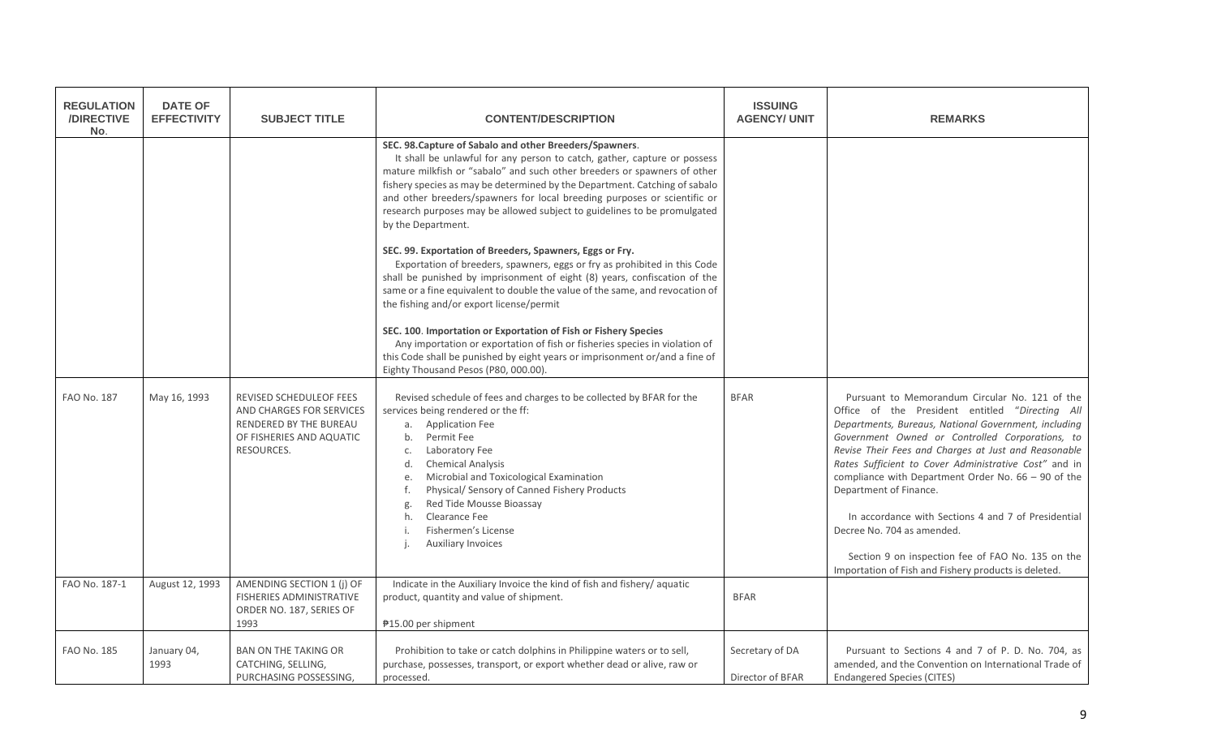| <b>REGULATION</b><br>/DIRECTIVE<br>No. | <b>DATE OF</b><br><b>EFFECTIVITY</b> | <b>SUBJECT TITLE</b>                                                                                                           | <b>CONTENT/DESCRIPTION</b>                                                                                                                                                                                                                                                                                                                                                                                                                                                                                                                                                                                                                                                                                                                                                                                                                                                                                                                                                                                                                                                                             | <b>ISSUING</b><br><b>AGENCY/ UNIT</b> | <b>REMARKS</b>                                                                                                                                                                                                                                                                                                                                                                                                                                                                                                                                                                                                     |
|----------------------------------------|--------------------------------------|--------------------------------------------------------------------------------------------------------------------------------|--------------------------------------------------------------------------------------------------------------------------------------------------------------------------------------------------------------------------------------------------------------------------------------------------------------------------------------------------------------------------------------------------------------------------------------------------------------------------------------------------------------------------------------------------------------------------------------------------------------------------------------------------------------------------------------------------------------------------------------------------------------------------------------------------------------------------------------------------------------------------------------------------------------------------------------------------------------------------------------------------------------------------------------------------------------------------------------------------------|---------------------------------------|--------------------------------------------------------------------------------------------------------------------------------------------------------------------------------------------------------------------------------------------------------------------------------------------------------------------------------------------------------------------------------------------------------------------------------------------------------------------------------------------------------------------------------------------------------------------------------------------------------------------|
|                                        |                                      |                                                                                                                                | SEC. 98. Capture of Sabalo and other Breeders/Spawners.<br>It shall be unlawful for any person to catch, gather, capture or possess<br>mature milkfish or "sabalo" and such other breeders or spawners of other<br>fishery species as may be determined by the Department. Catching of sabalo<br>and other breeders/spawners for local breeding purposes or scientific or<br>research purposes may be allowed subject to guidelines to be promulgated<br>by the Department.<br>SEC. 99. Exportation of Breeders, Spawners, Eggs or Fry.<br>Exportation of breeders, spawners, eggs or fry as prohibited in this Code<br>shall be punished by imprisonment of eight (8) years, confiscation of the<br>same or a fine equivalent to double the value of the same, and revocation of<br>the fishing and/or export license/permit<br>SEC. 100. Importation or Exportation of Fish or Fishery Species<br>Any importation or exportation of fish or fisheries species in violation of<br>this Code shall be punished by eight years or imprisonment or/and a fine of<br>Eighty Thousand Pesos (P80, 000.00). |                                       |                                                                                                                                                                                                                                                                                                                                                                                                                                                                                                                                                                                                                    |
| <b>FAO No. 187</b>                     | May 16, 1993                         | REVISED SCHEDULEOF FEES<br>AND CHARGES FOR SERVICES<br><b>RENDERED BY THE BUREAU</b><br>OF FISHERIES AND AQUATIC<br>RESOURCES. | Revised schedule of fees and charges to be collected by BFAR for the<br>services being rendered or the ff:<br>a. Application Fee<br>Permit Fee<br>b.<br>Laboratory Fee<br>c.<br>d.<br><b>Chemical Analysis</b><br>Microbial and Toxicological Examination<br>e.<br>Physical/ Sensory of Canned Fishery Products<br>f.<br>Red Tide Mousse Bioassay<br>g.<br>Clearance Fee<br>h.<br>Fishermen's License<br><b>Auxiliary Invoices</b>                                                                                                                                                                                                                                                                                                                                                                                                                                                                                                                                                                                                                                                                     | <b>BFAR</b>                           | Pursuant to Memorandum Circular No. 121 of the<br>Office of the President entitled "Directing All<br>Departments, Bureaus, National Government, including<br>Government Owned or Controlled Corporations, to<br>Revise Their Fees and Charges at Just and Reasonable<br>Rates Sufficient to Cover Administrative Cost" and in<br>compliance with Department Order No. $66 - 90$ of the<br>Department of Finance.<br>In accordance with Sections 4 and 7 of Presidential<br>Decree No. 704 as amended.<br>Section 9 on inspection fee of FAO No. 135 on the<br>Importation of Fish and Fishery products is deleted. |
| FAO No. 187-1                          | August 12, 1993                      | AMENDING SECTION 1 (j) OF<br><b>FISHERIES ADMINISTRATIVE</b><br>ORDER NO. 187, SERIES OF<br>1993                               | Indicate in the Auxiliary Invoice the kind of fish and fishery/ aquatic<br>product, quantity and value of shipment.<br>₱15.00 per shipment                                                                                                                                                                                                                                                                                                                                                                                                                                                                                                                                                                                                                                                                                                                                                                                                                                                                                                                                                             | <b>BFAR</b>                           |                                                                                                                                                                                                                                                                                                                                                                                                                                                                                                                                                                                                                    |
| <b>FAO No. 185</b>                     | January 04,<br>1993                  | <b>BAN ON THE TAKING OR</b><br>CATCHING, SELLING,<br>PURCHASING POSSESSING.                                                    | Prohibition to take or catch dolphins in Philippine waters or to sell,<br>purchase, possesses, transport, or export whether dead or alive, raw or<br>processed.                                                                                                                                                                                                                                                                                                                                                                                                                                                                                                                                                                                                                                                                                                                                                                                                                                                                                                                                        | Secretary of DA<br>Director of BFAR   | Pursuant to Sections 4 and 7 of P. D. No. 704, as<br>amended, and the Convention on International Trade of<br><b>Endangered Species (CITES)</b>                                                                                                                                                                                                                                                                                                                                                                                                                                                                    |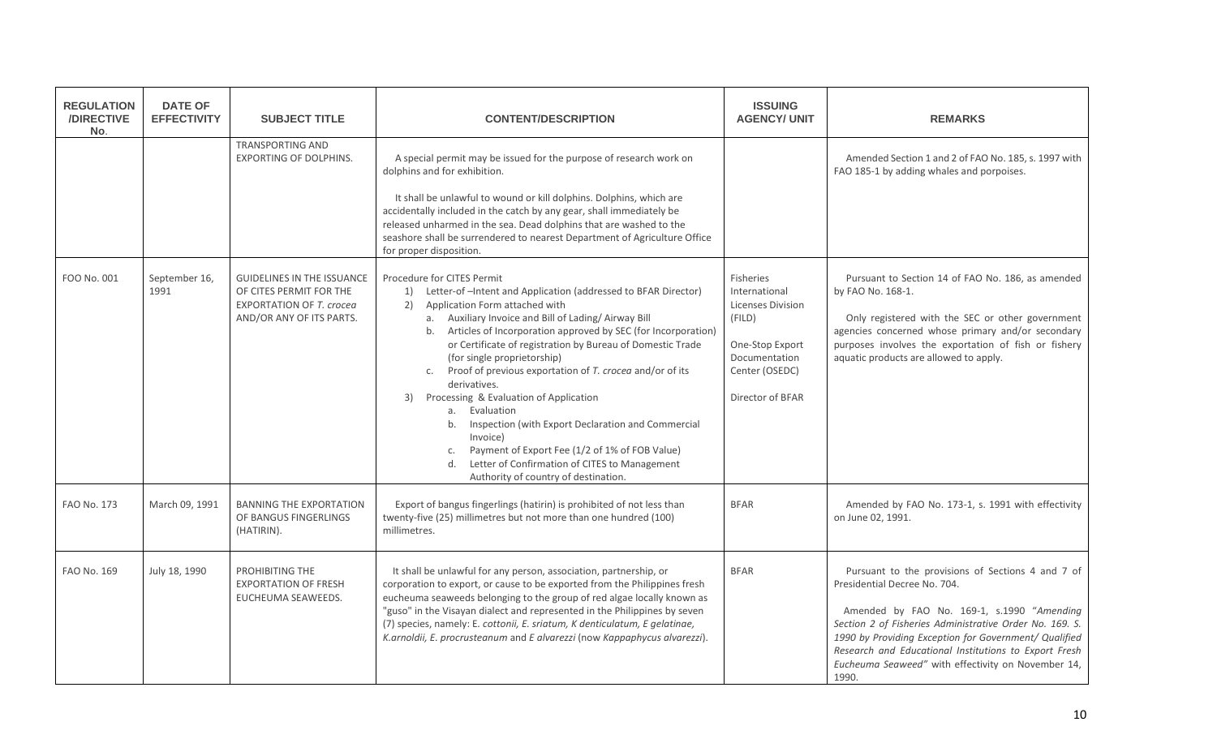| <b>REGULATION</b><br>/DIRECTIVE<br>No. | <b>DATE OF</b><br><b>EFFECTIVITY</b> | <b>SUBJECT TITLE</b>                                                                                                        | <b>CONTENT/DESCRIPTION</b>                                                                                                                                                                                                                                                                                                                                                                                                                                                                                                                                                                                                                                                                                                                       | <b>ISSUING</b><br><b>AGENCY/ UNIT</b>                                                                                                      | <b>REMARKS</b>                                                                                                                                                                                                                                                                                                                                                              |
|----------------------------------------|--------------------------------------|-----------------------------------------------------------------------------------------------------------------------------|--------------------------------------------------------------------------------------------------------------------------------------------------------------------------------------------------------------------------------------------------------------------------------------------------------------------------------------------------------------------------------------------------------------------------------------------------------------------------------------------------------------------------------------------------------------------------------------------------------------------------------------------------------------------------------------------------------------------------------------------------|--------------------------------------------------------------------------------------------------------------------------------------------|-----------------------------------------------------------------------------------------------------------------------------------------------------------------------------------------------------------------------------------------------------------------------------------------------------------------------------------------------------------------------------|
|                                        |                                      | <b>TRANSPORTING AND</b><br><b>EXPORTING OF DOLPHINS.</b>                                                                    | A special permit may be issued for the purpose of research work on<br>dolphins and for exhibition.<br>It shall be unlawful to wound or kill dolphins. Dolphins, which are<br>accidentally included in the catch by any gear, shall immediately be<br>released unharmed in the sea. Dead dolphins that are washed to the<br>seashore shall be surrendered to nearest Department of Agriculture Office<br>for proper disposition.                                                                                                                                                                                                                                                                                                                  |                                                                                                                                            | Amended Section 1 and 2 of FAO No. 185, s. 1997 with<br>FAO 185-1 by adding whales and porpoises.                                                                                                                                                                                                                                                                           |
| FOO No. 001                            | September 16,<br>1991                | <b>GUIDELINES IN THE ISSUANCE</b><br>OF CITES PERMIT FOR THE<br><b>EXPORTATION OF T. crocea</b><br>AND/OR ANY OF ITS PARTS. | Procedure for CITES Permit<br>1) Letter-of-Intent and Application (addressed to BFAR Director)<br>Application Form attached with<br>2)<br>a. Auxiliary Invoice and Bill of Lading/Airway Bill<br>Articles of Incorporation approved by SEC (for Incorporation)<br>b.<br>or Certificate of registration by Bureau of Domestic Trade<br>(for single proprietorship)<br>c. Proof of previous exportation of T. crocea and/or of its<br>derivatives.<br>Processing & Evaluation of Application<br>3)<br>a. Evaluation<br>Inspection (with Export Declaration and Commercial<br>b.<br>Invoice)<br>Payment of Export Fee (1/2 of 1% of FOB Value)<br>c.<br>Letter of Confirmation of CITES to Management<br>d.<br>Authority of country of destination. | Fisheries<br>International<br><b>Licenses Division</b><br>(FILD)<br>One-Stop Export<br>Documentation<br>Center (OSEDC)<br>Director of BFAR | Pursuant to Section 14 of FAO No. 186, as amended<br>by FAO No. 168-1.<br>Only registered with the SEC or other government<br>agencies concerned whose primary and/or secondary<br>purposes involves the exportation of fish or fishery<br>aquatic products are allowed to apply.                                                                                           |
| <b>FAO No. 173</b>                     | March 09, 1991                       | <b>BANNING THE EXPORTATION</b><br>OF BANGUS FINGERLINGS<br>(HATIRIN).                                                       | Export of bangus fingerlings (hatirin) is prohibited of not less than<br>twenty-five (25) millimetres but not more than one hundred (100)<br>millimetres.                                                                                                                                                                                                                                                                                                                                                                                                                                                                                                                                                                                        | <b>BFAR</b>                                                                                                                                | Amended by FAO No. 173-1, s. 1991 with effectivity<br>on June 02, 1991.                                                                                                                                                                                                                                                                                                     |
| FAO No. 169                            | July 18, 1990                        | PROHIBITING THE<br><b>EXPORTATION OF FRESH</b><br>EUCHEUMA SEAWEEDS.                                                        | It shall be unlawful for any person, association, partnership, or<br>corporation to export, or cause to be exported from the Philippines fresh<br>eucheuma seaweeds belonging to the group of red algae locally known as<br>"guso" in the Visayan dialect and represented in the Philippines by seven<br>(7) species, namely: E. cottonii, E. sriatum, K denticulatum, E gelatinae,<br>K.arnoldii, E. procrusteanum and E alvarezzi (now Kappaphycus alvarezzi).                                                                                                                                                                                                                                                                                 | <b>BFAR</b>                                                                                                                                | Pursuant to the provisions of Sections 4 and 7 of<br>Presidential Decree No. 704.<br>Amended by FAO No. 169-1, s.1990 "Amending<br>Section 2 of Fisheries Administrative Order No. 169. S.<br>1990 by Providing Exception for Government/ Qualified<br>Research and Educational Institutions to Export Fresh<br>Eucheuma Seaweed" with effectivity on November 14,<br>1990. |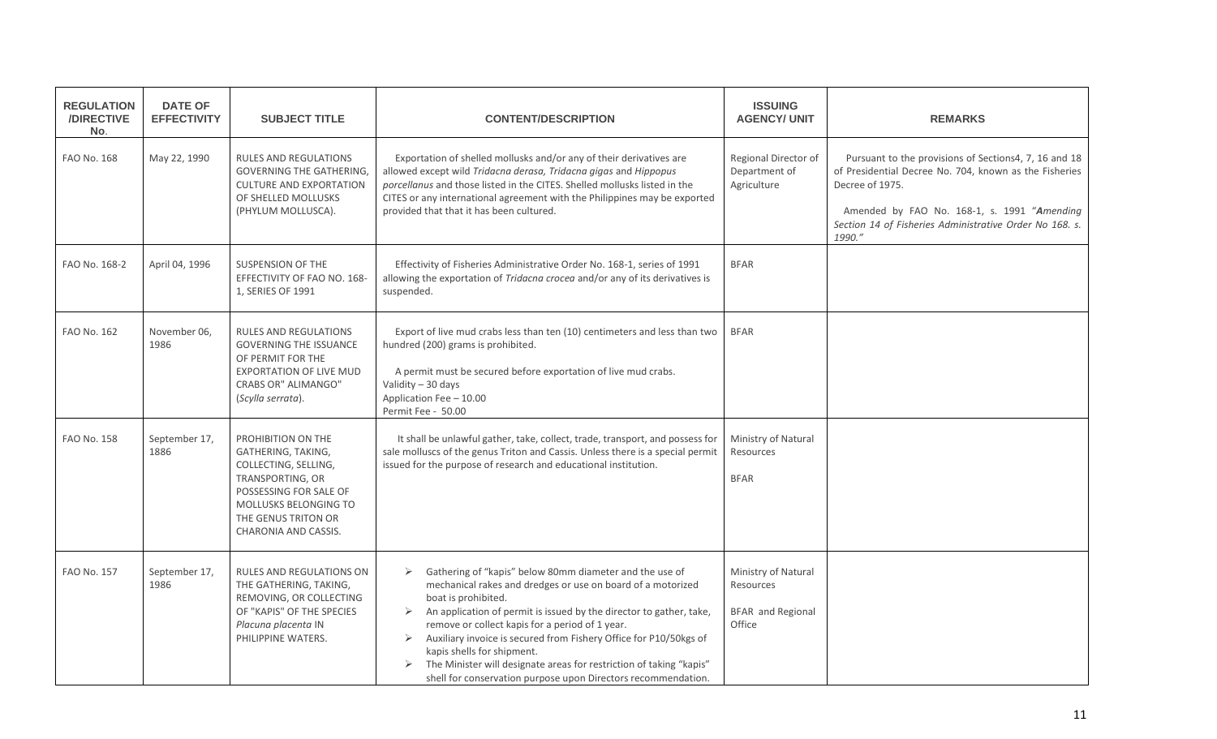| <b>REGULATION</b><br>/DIRECTIVE<br>No. | <b>DATE OF</b><br><b>EFFECTIVITY</b> | <b>SUBJECT TITLE</b>                                                                                                                                                                   | <b>CONTENT/DESCRIPTION</b>                                                                                                                                                                                                                                                                                                                                                                                                                                                                                                                            | <b>ISSUING</b><br><b>AGENCY/ UNIT</b>                                  | <b>REMARKS</b>                                                                                                                                                                                                                                         |
|----------------------------------------|--------------------------------------|----------------------------------------------------------------------------------------------------------------------------------------------------------------------------------------|-------------------------------------------------------------------------------------------------------------------------------------------------------------------------------------------------------------------------------------------------------------------------------------------------------------------------------------------------------------------------------------------------------------------------------------------------------------------------------------------------------------------------------------------------------|------------------------------------------------------------------------|--------------------------------------------------------------------------------------------------------------------------------------------------------------------------------------------------------------------------------------------------------|
| FAO No. 168                            | May 22, 1990                         | RULES AND REGULATIONS<br><b>GOVERNING THE GATHERING,</b><br><b>CULTURE AND EXPORTATION</b><br>OF SHELLED MOLLUSKS<br>(PHYLUM MOLLUSCA).                                                | Exportation of shelled mollusks and/or any of their derivatives are<br>allowed except wild Tridacna derasa, Tridacna gigas and Hippopus<br>porcellanus and those listed in the CITES. Shelled mollusks listed in the<br>CITES or any international agreement with the Philippines may be exported<br>provided that that it has been cultured.                                                                                                                                                                                                         | Regional Director of<br>Department of<br>Agriculture                   | Pursuant to the provisions of Sections4, 7, 16 and 18<br>of Presidential Decree No. 704, known as the Fisheries<br>Decree of 1975.<br>Amended by FAO No. 168-1, s. 1991 "Amending<br>Section 14 of Fisheries Administrative Order No 168. s.<br>1990." |
| FAO No. 168-2                          | April 04, 1996                       | <b>SUSPENSION OF THE</b><br>EFFECTIVITY OF FAO NO. 168-<br>1, SERIES OF 1991                                                                                                           | Effectivity of Fisheries Administrative Order No. 168-1, series of 1991<br>allowing the exportation of Tridacna crocea and/or any of its derivatives is<br>suspended.                                                                                                                                                                                                                                                                                                                                                                                 | <b>BFAR</b>                                                            |                                                                                                                                                                                                                                                        |
| <b>FAO No. 162</b>                     | November 06,<br>1986                 | <b>RULES AND REGULATIONS</b><br><b>GOVERNING THE ISSUANCE</b><br>OF PERMIT FOR THE<br><b>EXPORTATION OF LIVE MUD</b><br><b>CRABS OR" ALIMANGO"</b><br>(Scylla serrata).                | Export of live mud crabs less than ten (10) centimeters and less than two<br>hundred (200) grams is prohibited.<br>A permit must be secured before exportation of live mud crabs.<br>Validity - 30 days<br>Application Fee - 10.00<br>Permit Fee - 50.00                                                                                                                                                                                                                                                                                              | <b>BFAR</b>                                                            |                                                                                                                                                                                                                                                        |
| FAO No. 158                            | September 17,<br>1886                | PROHIBITION ON THE<br>GATHERING, TAKING,<br>COLLECTING, SELLING,<br>TRANSPORTING, OR<br>POSSESSING FOR SALE OF<br>MOLLUSKS BELONGING TO<br>THE GENUS TRITON OR<br>CHARONIA AND CASSIS. | It shall be unlawful gather, take, collect, trade, transport, and possess for<br>sale molluscs of the genus Triton and Cassis. Unless there is a special permit<br>issued for the purpose of research and educational institution.                                                                                                                                                                                                                                                                                                                    | Ministry of Natural<br>Resources<br><b>BFAR</b>                        |                                                                                                                                                                                                                                                        |
| <b>FAO No. 157</b>                     | September 17,<br>1986                | <b>RULES AND REGULATIONS ON</b><br>THE GATHERING, TAKING,<br>REMOVING, OR COLLECTING<br>OF "KAPIS" OF THE SPECIES<br>Placuna placenta IN<br>PHILIPPINE WATERS.                         | Gathering of "kapis" below 80mm diameter and the use of<br>➤<br>mechanical rakes and dredges or use on board of a motorized<br>boat is prohibited.<br>An application of permit is issued by the director to gather, take,<br>➤<br>remove or collect kapis for a period of 1 year.<br>Auxiliary invoice is secured from Fishery Office for P10/50kgs of<br>$\blacktriangleright$<br>kapis shells for shipment.<br>The Minister will designate areas for restriction of taking "kapis"<br>shell for conservation purpose upon Directors recommendation. | Ministry of Natural<br>Resources<br><b>BFAR</b> and Regional<br>Office |                                                                                                                                                                                                                                                        |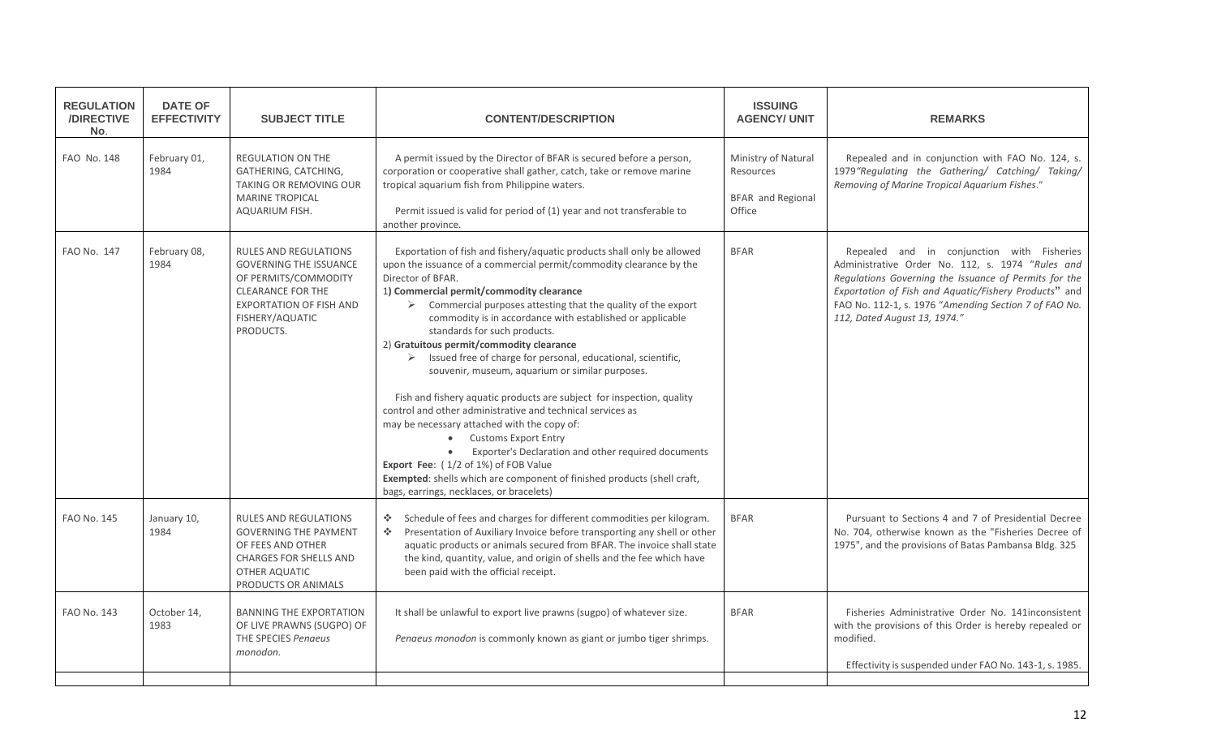| <b>REGULATION</b><br>/DIRECTIVE<br>No. | <b>DATE OF</b><br><b>EFFECTIVITY</b> | <b>SUBJECT TITLE</b>                                                                                                                                                                | <b>CONTENT/DESCRIPTION</b>                                                                                                                                                                                                                                                                                                                                                                                                                                                                                                                                                                                                                                                                                                                                                                                                                                                                                                                                                                                                           | <b>ISSUING</b><br><b>AGENCY/ UNIT</b>                                  | <b>REMARKS</b>                                                                                                                                                                                                                                                                                            |
|----------------------------------------|--------------------------------------|-------------------------------------------------------------------------------------------------------------------------------------------------------------------------------------|--------------------------------------------------------------------------------------------------------------------------------------------------------------------------------------------------------------------------------------------------------------------------------------------------------------------------------------------------------------------------------------------------------------------------------------------------------------------------------------------------------------------------------------------------------------------------------------------------------------------------------------------------------------------------------------------------------------------------------------------------------------------------------------------------------------------------------------------------------------------------------------------------------------------------------------------------------------------------------------------------------------------------------------|------------------------------------------------------------------------|-----------------------------------------------------------------------------------------------------------------------------------------------------------------------------------------------------------------------------------------------------------------------------------------------------------|
| FAO No. 148                            | February 01,<br>1984                 | REGULATION ON THE<br>GATHERING, CATCHING,<br><b>TAKING OR REMOVING OUR</b><br><b>MARINE TROPICAL</b><br>AQUARIUM FISH.                                                              | A permit issued by the Director of BFAR is secured before a person,<br>corporation or cooperative shall gather, catch, take or remove marine<br>tropical aquarium fish from Philippine waters.<br>Permit issued is valid for period of (1) year and not transferable to<br>another province.                                                                                                                                                                                                                                                                                                                                                                                                                                                                                                                                                                                                                                                                                                                                         | Ministry of Natural<br>Resources<br><b>BFAR</b> and Regional<br>Office | Repealed and in conjunction with FAO No. 124, s.<br>1979"Regulating the Gathering/ Catching/ Taking/<br>Removing of Marine Tropical Aquarium Fishes."                                                                                                                                                     |
| <b>FAO No. 147</b>                     | February 08,<br>1984                 | <b>RULES AND REGULATIONS</b><br><b>GOVERNING THE ISSUANCE</b><br>OF PERMITS/COMMODITY<br><b>CLEARANCE FOR THE</b><br><b>EXPORTATION OF FISH AND</b><br>FISHERY/AQUATIC<br>PRODUCTS. | Exportation of fish and fishery/aquatic products shall only be allowed<br>upon the issuance of a commercial permit/commodity clearance by the<br>Director of BFAR.<br>1) Commercial permit/commodity clearance<br>$\triangleright$ Commercial purposes attesting that the quality of the export<br>commodity is in accordance with established or applicable<br>standards for such products.<br>2) Gratuitous permit/commodity clearance<br>$\triangleright$ Issued free of charge for personal, educational, scientific,<br>souvenir, museum, aquarium or similar purposes.<br>Fish and fishery aquatic products are subject for inspection, quality<br>control and other administrative and technical services as<br>may be necessary attached with the copy of:<br><b>Customs Export Entry</b><br>$\bullet$<br>Exporter's Declaration and other required documents<br>Export Fee: (1/2 of 1%) of FOB Value<br>Exempted: shells which are component of finished products (shell craft,<br>bags, earrings, necklaces, or bracelets) | <b>BFAR</b>                                                            | Repealed and in conjunction with Fisheries<br>Administrative Order No. 112, s. 1974 "Rules and<br>Regulations Governing the Issuance of Permits for the<br>Exportation of Fish and Aquatic/Fishery Products" and<br>FAO No. 112-1, s. 1976 "Amending Section 7 of FAO No.<br>112, Dated August 13, 1974." |
| <b>FAO No. 145</b>                     | January 10,<br>1984                  | <b>RULES AND REGULATIONS</b><br><b>GOVERNING THE PAYMENT</b><br>OF FEES AND OTHER<br><b>CHARGES FOR SHELLS AND</b><br>OTHER AQUATIC<br>PRODUCTS OR ANIMALS                          | ❖ Schedule of fees and charges for different commodities per kilogram.<br>Presentation of Auxiliary Invoice before transporting any shell or other<br>-⊱<br>aquatic products or animals secured from BFAR. The invoice shall state<br>the kind, quantity, value, and origin of shells and the fee which have<br>been paid with the official receipt.                                                                                                                                                                                                                                                                                                                                                                                                                                                                                                                                                                                                                                                                                 | <b>BFAR</b>                                                            | Pursuant to Sections 4 and 7 of Presidential Decree<br>No. 704, otherwise known as the "Fisheries Decree of<br>1975", and the provisions of Batas Pambansa Bldg. 325                                                                                                                                      |
| FAO No. 143                            | October 14,<br>1983                  | <b>BANNING THE EXPORTATION</b><br>OF LIVE PRAWNS (SUGPO) OF<br>THE SPECIES Penaeus<br>monodon.                                                                                      | It shall be unlawful to export live prawns (sugpo) of whatever size.<br>Penaeus monodon is commonly known as giant or jumbo tiger shrimps.                                                                                                                                                                                                                                                                                                                                                                                                                                                                                                                                                                                                                                                                                                                                                                                                                                                                                           | <b>BFAR</b>                                                            | Fisheries Administrative Order No. 141 inconsistent<br>with the provisions of this Order is hereby repealed or<br>modified.<br>Effectivity is suspended under FAO No. 143-1, s. 1985.                                                                                                                     |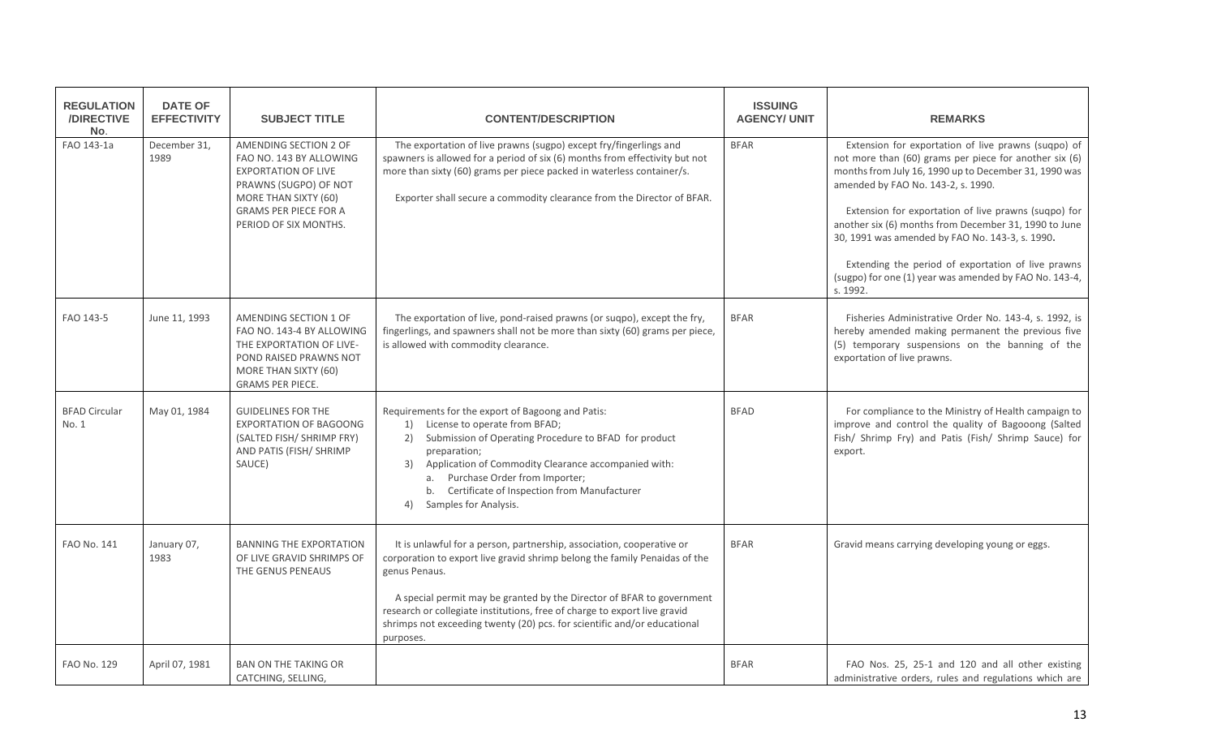| <b>REGULATION</b><br>/DIRECTIVE<br>No. | <b>DATE OF</b><br><b>EFFECTIVITY</b> | <b>SUBJECT TITLE</b>                                                                                                                                                                     | <b>CONTENT/DESCRIPTION</b>                                                                                                                                                                                                                                                                                                                                                                                          | <b>ISSUING</b><br><b>AGENCY/ UNIT</b> | <b>REMARKS</b>                                                                                                                                                                                                                                                                                                                                                                                                                                                                                               |
|----------------------------------------|--------------------------------------|------------------------------------------------------------------------------------------------------------------------------------------------------------------------------------------|---------------------------------------------------------------------------------------------------------------------------------------------------------------------------------------------------------------------------------------------------------------------------------------------------------------------------------------------------------------------------------------------------------------------|---------------------------------------|--------------------------------------------------------------------------------------------------------------------------------------------------------------------------------------------------------------------------------------------------------------------------------------------------------------------------------------------------------------------------------------------------------------------------------------------------------------------------------------------------------------|
| FAO 143-1a                             | December 31,<br>1989                 | AMENDING SECTION 2 OF<br>FAO NO. 143 BY ALLOWING<br><b>EXPORTATION OF LIVE</b><br>PRAWNS (SUGPO) OF NOT<br>MORE THAN SIXTY (60)<br><b>GRAMS PER PIECE FOR A</b><br>PERIOD OF SIX MONTHS. | The exportation of live prawns (sugpo) except fry/fingerlings and<br>spawners is allowed for a period of six (6) months from effectivity but not<br>more than sixty (60) grams per piece packed in waterless container/s.<br>Exporter shall secure a commodity clearance from the Director of BFAR.                                                                                                                 | <b>BFAR</b>                           | Extension for exportation of live prawns (suqpo) of<br>not more than (60) grams per piece for another six (6)<br>months from July 16, 1990 up to December 31, 1990 was<br>amended by FAO No. 143-2, s. 1990.<br>Extension for exportation of live prawns (suqpo) for<br>another six (6) months from December 31, 1990 to June<br>30, 1991 was amended by FAO No. 143-3, s. 1990.<br>Extending the period of exportation of live prawns<br>(sugpo) for one (1) year was amended by FAO No. 143-4,<br>s. 1992. |
| FAO 143-5                              | June 11, 1993                        | AMENDING SECTION 1 OF<br>FAO NO. 143-4 BY ALLOWING<br>THE EXPORTATION OF LIVE-<br>POND RAISED PRAWNS NOT<br>MORE THAN SIXTY (60)<br>GRAMS PER PIECE.                                     | The exportation of live, pond-raised prawns (or suqpo), except the fry,<br>fingerlings, and spawners shall not be more than sixty (60) grams per piece,<br>is allowed with commodity clearance.                                                                                                                                                                                                                     | <b>BFAR</b>                           | Fisheries Administrative Order No. 143-4, s. 1992, is<br>hereby amended making permanent the previous five<br>(5) temporary suspensions on the banning of the<br>exportation of live prawns.                                                                                                                                                                                                                                                                                                                 |
| <b>BFAD Circular</b><br>No. 1          | May 01, 1984                         | <b>GUIDELINES FOR THE</b><br><b>EXPORTATION OF BAGOONG</b><br>(SALTED FISH/ SHRIMP FRY)<br>AND PATIS (FISH/ SHRIMP<br>SAUCE)                                                             | Requirements for the export of Bagoong and Patis:<br>1) License to operate from BFAD;<br>Submission of Operating Procedure to BFAD for product<br>2)<br>preparation;<br>Application of Commodity Clearance accompanied with:<br>3)<br>a. Purchase Order from Importer;<br>b. Certificate of Inspection from Manufacturer<br>Samples for Analysis.<br>4)                                                             | <b>BFAD</b>                           | For compliance to the Ministry of Health campaign to<br>improve and control the quality of Bagooong (Salted<br>Fish/ Shrimp Fry) and Patis (Fish/ Shrimp Sauce) for<br>export.                                                                                                                                                                                                                                                                                                                               |
| FAO No. 141                            | January 07,<br>1983                  | <b>BANNING THE EXPORTATION</b><br>OF LIVE GRAVID SHRIMPS OF<br>THE GENUS PENEAUS                                                                                                         | It is unlawful for a person, partnership, association, cooperative or<br>corporation to export live gravid shrimp belong the family Penaidas of the<br>genus Penaus.<br>A special permit may be granted by the Director of BFAR to government<br>research or collegiate institutions, free of charge to export live gravid<br>shrimps not exceeding twenty (20) pcs. for scientific and/or educational<br>purposes. | <b>BFAR</b>                           | Gravid means carrying developing young or eggs.                                                                                                                                                                                                                                                                                                                                                                                                                                                              |
| <b>FAO No. 129</b>                     | April 07, 1981                       | <b>BAN ON THE TAKING OR</b><br>CATCHING, SELLING,                                                                                                                                        |                                                                                                                                                                                                                                                                                                                                                                                                                     | <b>BFAR</b>                           | FAO Nos. 25, 25-1 and 120 and all other existing<br>administrative orders, rules and regulations which are                                                                                                                                                                                                                                                                                                                                                                                                   |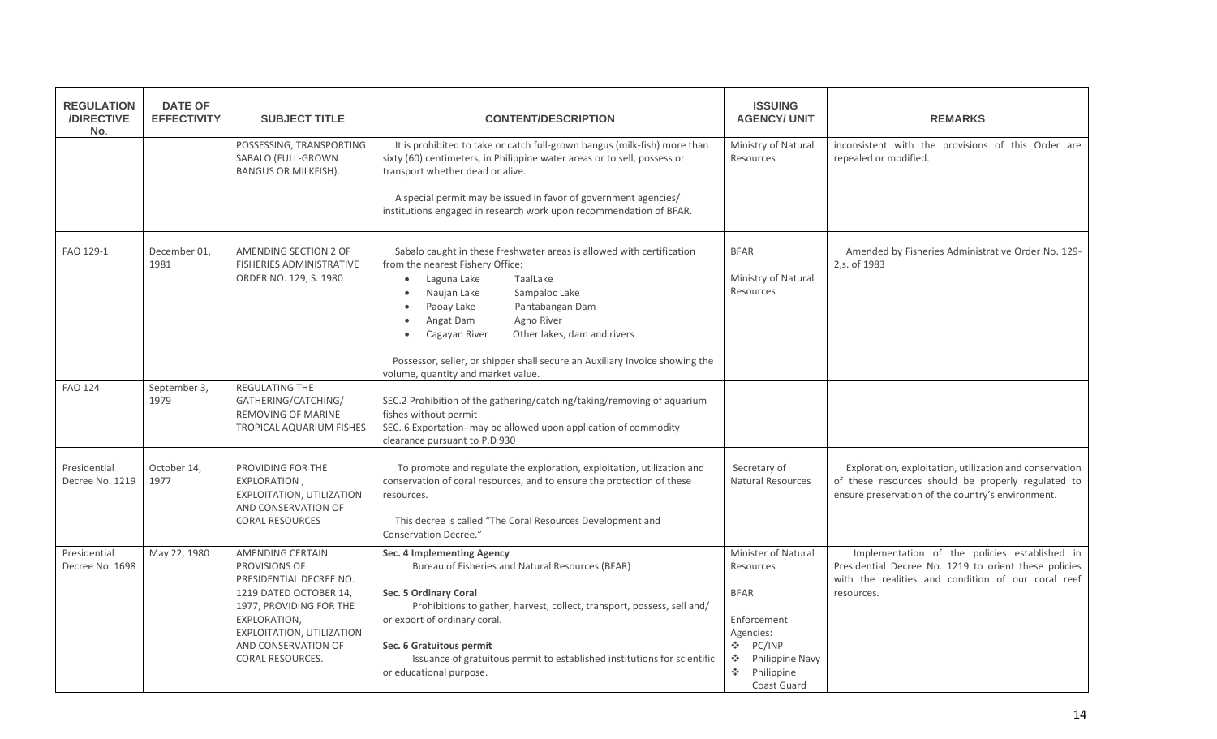| <b>REGULATION</b><br>/DIRECTIVE<br>No. | <b>DATE OF</b><br><b>EFFECTIVITY</b> | <b>SUBJECT TITLE</b>                                                                                                                                                                                             | <b>CONTENT/DESCRIPTION</b>                                                                                                                                                                                                                                                                                                                                                                                                       | <b>ISSUING</b><br><b>AGENCY/ UNIT</b>                                                                                                                                                  | <b>REMARKS</b>                                                                                                                                                             |
|----------------------------------------|--------------------------------------|------------------------------------------------------------------------------------------------------------------------------------------------------------------------------------------------------------------|----------------------------------------------------------------------------------------------------------------------------------------------------------------------------------------------------------------------------------------------------------------------------------------------------------------------------------------------------------------------------------------------------------------------------------|----------------------------------------------------------------------------------------------------------------------------------------------------------------------------------------|----------------------------------------------------------------------------------------------------------------------------------------------------------------------------|
|                                        |                                      | POSSESSING, TRANSPORTING<br>SABALO (FULL-GROWN<br><b>BANGUS OR MILKFISH).</b>                                                                                                                                    | It is prohibited to take or catch full-grown bangus (milk-fish) more than<br>sixty (60) centimeters, in Philippine water areas or to sell, possess or<br>transport whether dead or alive.                                                                                                                                                                                                                                        | Ministry of Natural<br>Resources                                                                                                                                                       | inconsistent with the provisions of this Order are<br>repealed or modified.                                                                                                |
|                                        |                                      |                                                                                                                                                                                                                  | A special permit may be issued in favor of government agencies/<br>institutions engaged in research work upon recommendation of BFAR.                                                                                                                                                                                                                                                                                            |                                                                                                                                                                                        |                                                                                                                                                                            |
| FAO 129-1                              | December 01,<br>1981                 | AMENDING SECTION 2 OF<br>FISHERIES ADMINISTRATIVE<br>ORDER NO. 129, S. 1980                                                                                                                                      | Sabalo caught in these freshwater areas is allowed with certification<br>from the nearest Fishery Office:<br>Laguna Lake<br>TaalLake<br>$\bullet$<br>Naujan Lake<br>Sampaloc Lake<br>$\bullet$<br>Paoay Lake<br>Pantabangan Dam<br>$\bullet$<br>Angat Dam<br>Agno River<br>$\bullet$<br>Cagayan River<br>Other lakes, dam and rivers<br>$\bullet$<br>Possessor, seller, or shipper shall secure an Auxiliary Invoice showing the | <b>BFAR</b><br>Ministry of Natural<br>Resources                                                                                                                                        | Amended by Fisheries Administrative Order No. 129-<br>2, s. of 1983                                                                                                        |
|                                        |                                      |                                                                                                                                                                                                                  | volume, quantity and market value.                                                                                                                                                                                                                                                                                                                                                                                               |                                                                                                                                                                                        |                                                                                                                                                                            |
| <b>FAO 124</b>                         | September 3,<br>1979                 | REGULATING THE<br>GATHERING/CATCHING/<br>REMOVING OF MARINE<br>TROPICAL AQUARIUM FISHES                                                                                                                          | SEC.2 Prohibition of the gathering/catching/taking/removing of aquarium<br>fishes without permit<br>SEC. 6 Exportation- may be allowed upon application of commodity<br>clearance pursuant to P.D 930                                                                                                                                                                                                                            |                                                                                                                                                                                        |                                                                                                                                                                            |
| Presidential<br>Decree No. 1219        | October 14,<br>1977                  | PROVIDING FOR THE<br>EXPLORATION,<br>EXPLOITATION, UTILIZATION<br>AND CONSERVATION OF<br><b>CORAL RESOURCES</b>                                                                                                  | To promote and regulate the exploration, exploitation, utilization and<br>conservation of coral resources, and to ensure the protection of these<br>resources.<br>This decree is called "The Coral Resources Development and<br><b>Conservation Decree."</b>                                                                                                                                                                     | Secretary of<br><b>Natural Resources</b>                                                                                                                                               | Exploration, exploitation, utilization and conservation<br>of these resources should be properly regulated to<br>ensure preservation of the country's environment.         |
| Presidential<br>Decree No. 1698        | May 22, 1980                         | AMENDING CERTAIN<br>PROVISIONS OF<br>PRESIDENTIAL DECREE NO.<br>1219 DATED OCTOBER 14,<br>1977, PROVIDING FOR THE<br>EXPLORATION,<br>EXPLOITATION, UTILIZATION<br>AND CONSERVATION OF<br><b>CORAL RESOURCES.</b> | Sec. 4 Implementing Agency<br>Bureau of Fisheries and Natural Resources (BFAR)<br>Sec. 5 Ordinary Coral<br>Prohibitions to gather, harvest, collect, transport, possess, sell and/<br>or export of ordinary coral.<br>Sec. 6 Gratuitous permit<br>Issuance of gratuitous permit to established institutions for scientific<br>or educational purpose.                                                                            | Minister of Natural<br>Resources<br><b>BFAR</b><br>Enforcement<br>Agencies:<br><b>A</b><br>PC/INP<br>Philippine Navy<br>A.<br>$\mathcal{L}_{\mathcal{C}}$<br>Philippine<br>Coast Guard | Implementation of the policies established in<br>Presidential Decree No. 1219 to orient these policies<br>with the realities and condition of our coral reef<br>resources. |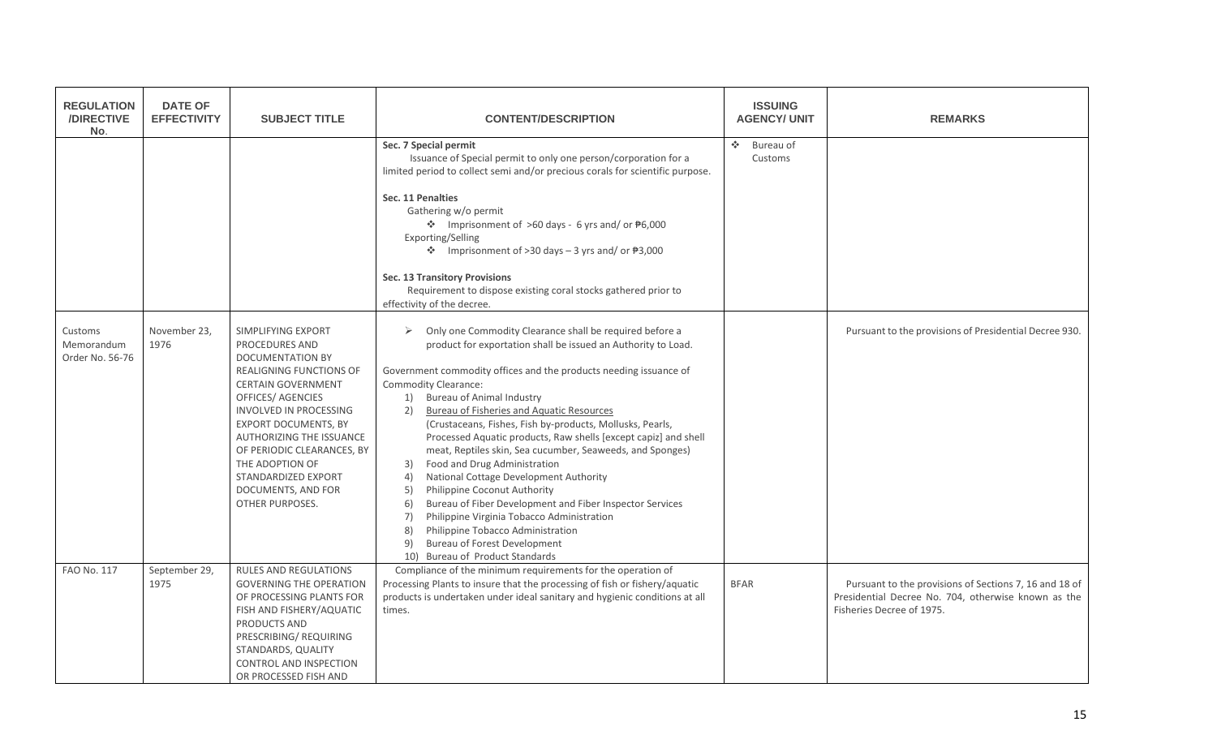| <b>REGULATION</b><br>/DIRECTIVE<br>No.   | <b>DATE OF</b><br><b>EFFECTIVITY</b> | <b>SUBJECT TITLE</b>                                                                                                                                                                                                                                                                                                                                                    | <b>CONTENT/DESCRIPTION</b>                                                                                                                                                                                                                                                                                                                                                                                                                                                                                                                                                                                                                                                                                                                                                                                                                                                                            | <b>ISSUING</b><br><b>AGENCY/ UNIT</b>                             | <b>REMARKS</b>                                                                                                                             |
|------------------------------------------|--------------------------------------|-------------------------------------------------------------------------------------------------------------------------------------------------------------------------------------------------------------------------------------------------------------------------------------------------------------------------------------------------------------------------|-------------------------------------------------------------------------------------------------------------------------------------------------------------------------------------------------------------------------------------------------------------------------------------------------------------------------------------------------------------------------------------------------------------------------------------------------------------------------------------------------------------------------------------------------------------------------------------------------------------------------------------------------------------------------------------------------------------------------------------------------------------------------------------------------------------------------------------------------------------------------------------------------------|-------------------------------------------------------------------|--------------------------------------------------------------------------------------------------------------------------------------------|
|                                          |                                      |                                                                                                                                                                                                                                                                                                                                                                         | Sec. 7 Special permit<br>Issuance of Special permit to only one person/corporation for a<br>limited period to collect semi and/or precious corals for scientific purpose.<br>Sec. 11 Penalties<br>Gathering w/o permit<br>❖ Imprisonment of >60 days - 6 yrs and/ or $\frac{1}{2}6,000$<br>Exporting/Selling<br>$\cdot$ Imprisonment of >30 days - 3 yrs and/ or $\overline{P}3,000$<br>Sec. 13 Transitory Provisions<br>Requirement to dispose existing coral stocks gathered prior to<br>effectivity of the decree.                                                                                                                                                                                                                                                                                                                                                                                 | $\mathcal{L}_{\mathbf{a}}^{\mathbf{a}}$ .<br>Bureau of<br>Customs |                                                                                                                                            |
| Customs<br>Memorandum<br>Order No. 56-76 | November 23,<br>1976                 | SIMPLIFYING EXPORT<br><b>PROCEDURES AND</b><br><b>DOCUMENTATION BY</b><br>REALIGNING FUNCTIONS OF<br><b>CERTAIN GOVERNMENT</b><br><b>OFFICES/ AGENCIES</b><br><b>INVOLVED IN PROCESSING</b><br><b>EXPORT DOCUMENTS, BY</b><br>AUTHORIZING THE ISSUANCE<br>OF PERIODIC CLEARANCES, BY<br>THE ADOPTION OF<br>STANDARDIZED EXPORT<br>DOCUMENTS, AND FOR<br>OTHER PURPOSES. | Only one Commodity Clearance shall be required before a<br>➤<br>product for exportation shall be issued an Authority to Load.<br>Government commodity offices and the products needing issuance of<br><b>Commodity Clearance:</b><br>1) Bureau of Animal Industry<br><b>Bureau of Fisheries and Aquatic Resources</b><br>2)<br>(Crustaceans, Fishes, Fish by-products, Mollusks, Pearls,<br>Processed Aquatic products, Raw shells [except capiz] and shell<br>meat, Reptiles skin, Sea cucumber, Seaweeds, and Sponges)<br>Food and Drug Administration<br>3)<br>National Cottage Development Authority<br>4)<br>5)<br>Philippine Coconut Authority<br>Bureau of Fiber Development and Fiber Inspector Services<br>6)<br>Philippine Virginia Tobacco Administration<br>7)<br>8)<br>Philippine Tobacco Administration<br><b>Bureau of Forest Development</b><br>9)<br>10) Bureau of Product Standards |                                                                   | Pursuant to the provisions of Presidential Decree 930.                                                                                     |
| <b>FAO No. 117</b>                       | September 29,<br>1975                | <b>RULES AND REGULATIONS</b><br><b>GOVERNING THE OPERATION</b><br>OF PROCESSING PLANTS FOR<br>FISH AND FISHERY/AQUATIC<br>PRODUCTS AND<br>PRESCRIBING/REQUIRING<br>STANDARDS, QUALITY<br>CONTROL AND INSPECTION<br>OR PROCESSED FISH AND                                                                                                                                | Compliance of the minimum requirements for the operation of<br>Processing Plants to insure that the processing of fish or fishery/aquatic<br>products is undertaken under ideal sanitary and hygienic conditions at all<br>times.                                                                                                                                                                                                                                                                                                                                                                                                                                                                                                                                                                                                                                                                     | <b>BFAR</b>                                                       | Pursuant to the provisions of Sections 7, 16 and 18 of<br>Presidential Decree No. 704, otherwise known as the<br>Fisheries Decree of 1975. |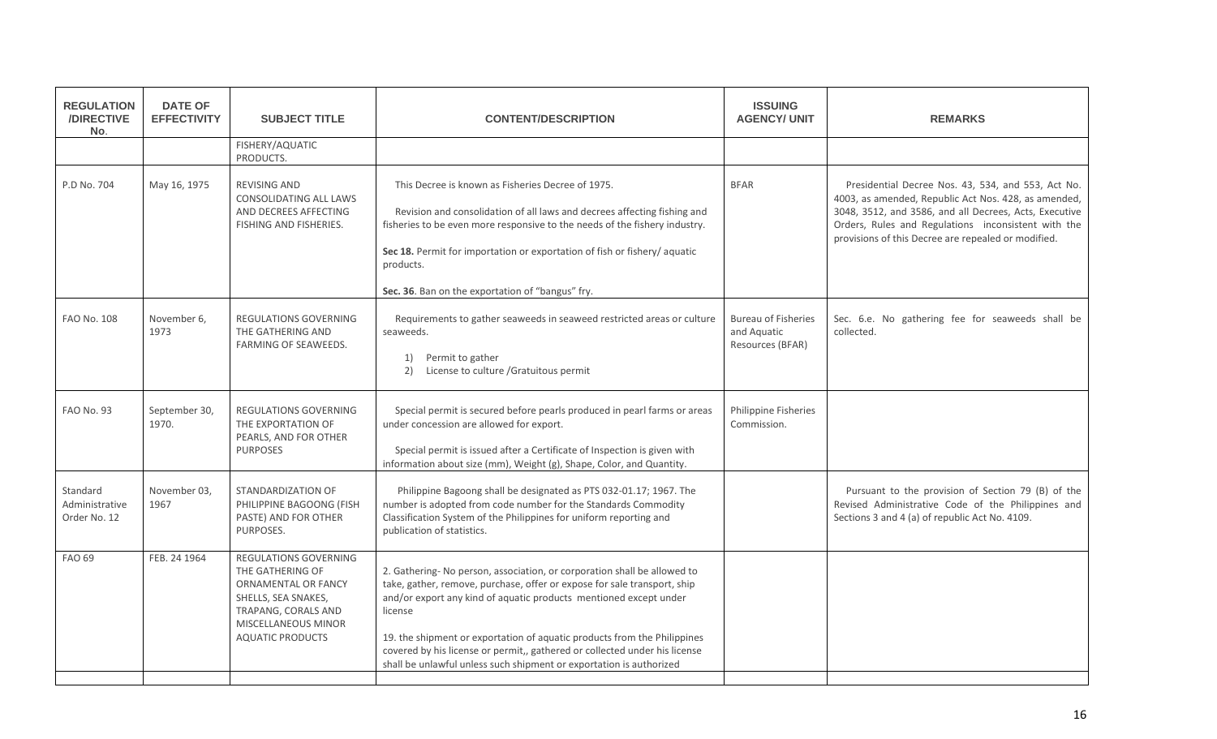| <b>REGULATION</b><br><b>/DIRECTIVE</b><br>No. | <b>DATE OF</b><br><b>EFFECTIVITY</b> | <b>SUBJECT TITLE</b>                                                                                                                                                    | <b>CONTENT/DESCRIPTION</b>                                                                                                                                                                                                                                                                                                                                                                                                                                            | <b>ISSUING</b><br><b>AGENCY/ UNIT</b>                         | <b>REMARKS</b>                                                                                                                                                                                                                                                                     |
|-----------------------------------------------|--------------------------------------|-------------------------------------------------------------------------------------------------------------------------------------------------------------------------|-----------------------------------------------------------------------------------------------------------------------------------------------------------------------------------------------------------------------------------------------------------------------------------------------------------------------------------------------------------------------------------------------------------------------------------------------------------------------|---------------------------------------------------------------|------------------------------------------------------------------------------------------------------------------------------------------------------------------------------------------------------------------------------------------------------------------------------------|
|                                               |                                      | FISHERY/AQUATIC<br>PRODUCTS.                                                                                                                                            |                                                                                                                                                                                                                                                                                                                                                                                                                                                                       |                                                               |                                                                                                                                                                                                                                                                                    |
| P.D No. 704                                   | May 16, 1975                         | <b>REVISING AND</b><br><b>CONSOLIDATING ALL LAWS</b><br>AND DECREES AFFECTING<br>FISHING AND FISHERIES.                                                                 | This Decree is known as Fisheries Decree of 1975.<br>Revision and consolidation of all laws and decrees affecting fishing and<br>fisheries to be even more responsive to the needs of the fishery industry.<br>Sec 18. Permit for importation or exportation of fish or fishery/ aquatic<br>products.<br>Sec. 36. Ban on the exportation of "bangus" fry.                                                                                                             | <b>BFAR</b>                                                   | Presidential Decree Nos. 43, 534, and 553, Act No.<br>4003, as amended, Republic Act Nos. 428, as amended,<br>3048, 3512, and 3586, and all Decrees, Acts, Executive<br>Orders, Rules and Regulations inconsistent with the<br>provisions of this Decree are repealed or modified. |
| <b>FAO No. 108</b>                            | November 6,<br>1973                  | <b>REGULATIONS GOVERNING</b><br>THE GATHERING AND<br>FARMING OF SEAWEEDS.                                                                                               | Requirements to gather seaweeds in seaweed restricted areas or culture<br>seaweeds.<br>Permit to gather<br>1)<br>License to culture / Gratuitous permit<br>2)                                                                                                                                                                                                                                                                                                         | <b>Bureau of Fisheries</b><br>and Aquatic<br>Resources (BFAR) | Sec. 6.e. No gathering fee for seaweeds shall be<br>collected.                                                                                                                                                                                                                     |
| <b>FAO No. 93</b>                             | September 30,<br>1970.               | REGULATIONS GOVERNING<br>THE EXPORTATION OF<br>PEARLS, AND FOR OTHER<br><b>PURPOSES</b>                                                                                 | Special permit is secured before pearls produced in pearl farms or areas<br>under concession are allowed for export.<br>Special permit is issued after a Certificate of Inspection is given with<br>information about size (mm), Weight (g), Shape, Color, and Quantity.                                                                                                                                                                                              | <b>Philippine Fisheries</b><br>Commission.                    |                                                                                                                                                                                                                                                                                    |
| Standard<br>Administrative<br>Order No. 12    | November 03,<br>1967                 | STANDARDIZATION OF<br>PHILIPPINE BAGOONG (FISH<br>PASTE) AND FOR OTHER<br>PURPOSES.                                                                                     | Philippine Bagoong shall be designated as PTS 032-01.17; 1967. The<br>number is adopted from code number for the Standards Commodity<br>Classification System of the Philippines for uniform reporting and<br>publication of statistics.                                                                                                                                                                                                                              |                                                               | Pursuant to the provision of Section 79 (B) of the<br>Revised Administrative Code of the Philippines and<br>Sections 3 and 4 (a) of republic Act No. 4109.                                                                                                                         |
| <b>FAO 69</b>                                 | FEB. 24 1964                         | <b>REGULATIONS GOVERNING</b><br>THE GATHERING OF<br>ORNAMENTAL OR FANCY<br>SHELLS, SEA SNAKES,<br>TRAPANG, CORALS AND<br>MISCELLANEOUS MINOR<br><b>AQUATIC PRODUCTS</b> | 2. Gathering- No person, association, or corporation shall be allowed to<br>take, gather, remove, purchase, offer or expose for sale transport, ship<br>and/or export any kind of aquatic products mentioned except under<br>license<br>19. the shipment or exportation of aquatic products from the Philippines<br>covered by his license or permit,, gathered or collected under his license<br>shall be unlawful unless such shipment or exportation is authorized |                                                               |                                                                                                                                                                                                                                                                                    |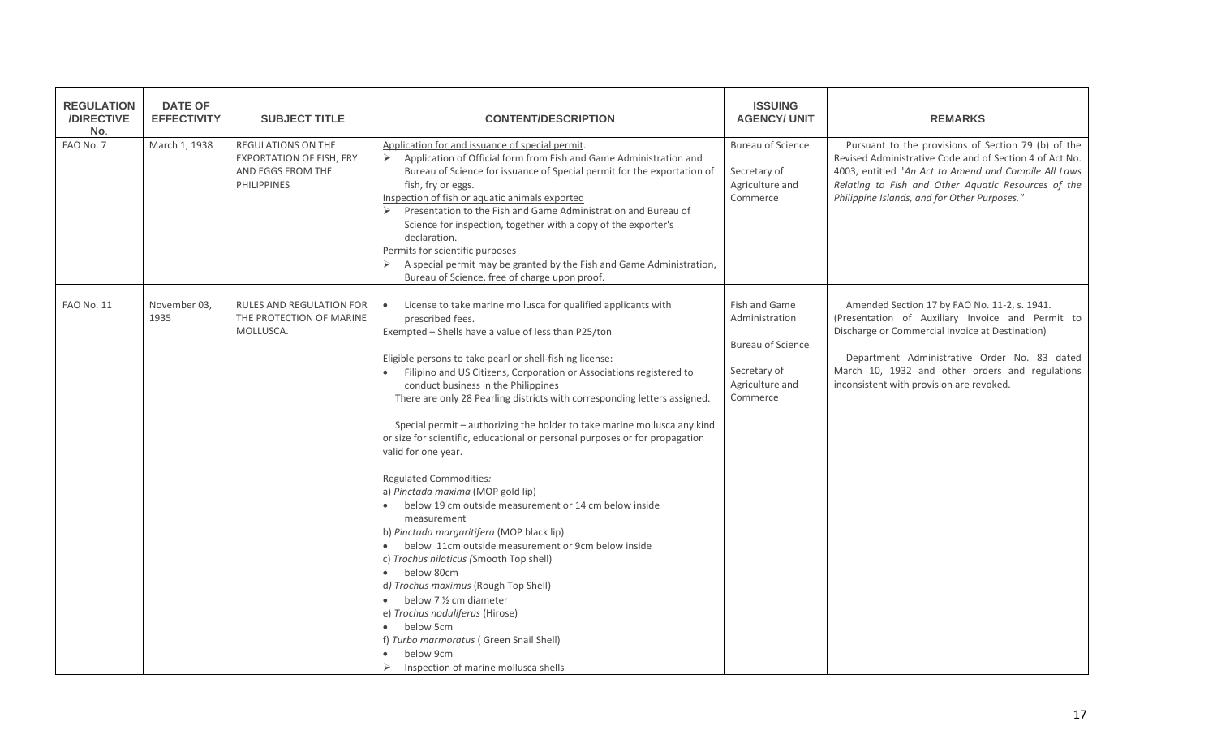| <b>REGULATION</b><br>/DIRECTIVE<br>No. | <b>DATE OF</b><br><b>EFFECTIVITY</b> | <b>SUBJECT TITLE</b>                                                                                    | <b>CONTENT/DESCRIPTION</b>                                                                                                                                                                                                                                                                                                                                                                                                                                                                                                                                                                                                                                                                                                                                                                                                                                                                                                                                                                                                                                                                                                          | <b>ISSUING</b><br><b>AGENCY/ UNIT</b>                                                                      | <b>REMARKS</b>                                                                                                                                                                                                                                                                                     |
|----------------------------------------|--------------------------------------|---------------------------------------------------------------------------------------------------------|-------------------------------------------------------------------------------------------------------------------------------------------------------------------------------------------------------------------------------------------------------------------------------------------------------------------------------------------------------------------------------------------------------------------------------------------------------------------------------------------------------------------------------------------------------------------------------------------------------------------------------------------------------------------------------------------------------------------------------------------------------------------------------------------------------------------------------------------------------------------------------------------------------------------------------------------------------------------------------------------------------------------------------------------------------------------------------------------------------------------------------------|------------------------------------------------------------------------------------------------------------|----------------------------------------------------------------------------------------------------------------------------------------------------------------------------------------------------------------------------------------------------------------------------------------------------|
| FAO No. 7                              | March 1, 1938                        | <b>REGULATIONS ON THE</b><br><b>EXPORTATION OF FISH, FRY</b><br>AND EGGS FROM THE<br><b>PHILIPPINES</b> | Application for and issuance of special permit.<br>> Application of Official form from Fish and Game Administration and<br>Bureau of Science for issuance of Special permit for the exportation of<br>fish, fry or eggs.<br>Inspection of fish or aquatic animals exported<br>Presentation to the Fish and Game Administration and Bureau of<br>Science for inspection, together with a copy of the exporter's<br>declaration.<br>Permits for scientific purposes<br>$\triangleright$ A special permit may be granted by the Fish and Game Administration,<br>Bureau of Science, free of charge upon proof.                                                                                                                                                                                                                                                                                                                                                                                                                                                                                                                         | <b>Bureau of Science</b><br>Secretary of<br>Agriculture and<br>Commerce                                    | Pursuant to the provisions of Section 79 (b) of the<br>Revised Administrative Code and of Section 4 of Act No.<br>4003, entitled "An Act to Amend and Compile All Laws<br>Relating to Fish and Other Aquatic Resources of the<br>Philippine Islands, and for Other Purposes."                      |
| <b>FAO No. 11</b>                      | November 03,<br>1935                 | <b>RULES AND REGULATION FOR</b><br>THE PROTECTION OF MARINE<br>MOLLUSCA.                                | License to take marine mollusca for qualified applicants with<br>prescribed fees.<br>Exempted - Shells have a value of less than P25/ton<br>Eligible persons to take pearl or shell-fishing license:<br>• Filipino and US Citizens, Corporation or Associations registered to<br>conduct business in the Philippines<br>There are only 28 Pearling districts with corresponding letters assigned.<br>Special permit - authorizing the holder to take marine mollusca any kind<br>or size for scientific, educational or personal purposes or for propagation<br>valid for one year.<br>Regulated Commodities:<br>a) Pinctada maxima (MOP gold lip)<br>below 19 cm outside measurement or 14 cm below inside<br>measurement<br>b) Pinctada margaritifera (MOP black lip)<br>below 11cm outside measurement or 9cm below inside<br>$\bullet$<br>c) Trochus niloticus (Smooth Top shell)<br>below 80cm<br>d) Trochus maximus (Rough Top Shell)<br>below 7 1/2 cm diameter<br>e) Trochus noduliferus (Hirose)<br>below 5cm<br>$\bullet$<br>f) Turbo marmoratus (Green Snail Shell)<br>below 9cm<br>Inspection of marine mollusca shells | Fish and Game<br>Administration<br><b>Bureau of Science</b><br>Secretary of<br>Agriculture and<br>Commerce | Amended Section 17 by FAO No. 11-2, s. 1941.<br>(Presentation of Auxiliary Invoice and Permit to<br>Discharge or Commercial Invoice at Destination)<br>Department Administrative Order No. 83 dated<br>March 10, 1932 and other orders and regulations<br>inconsistent with provision are revoked. |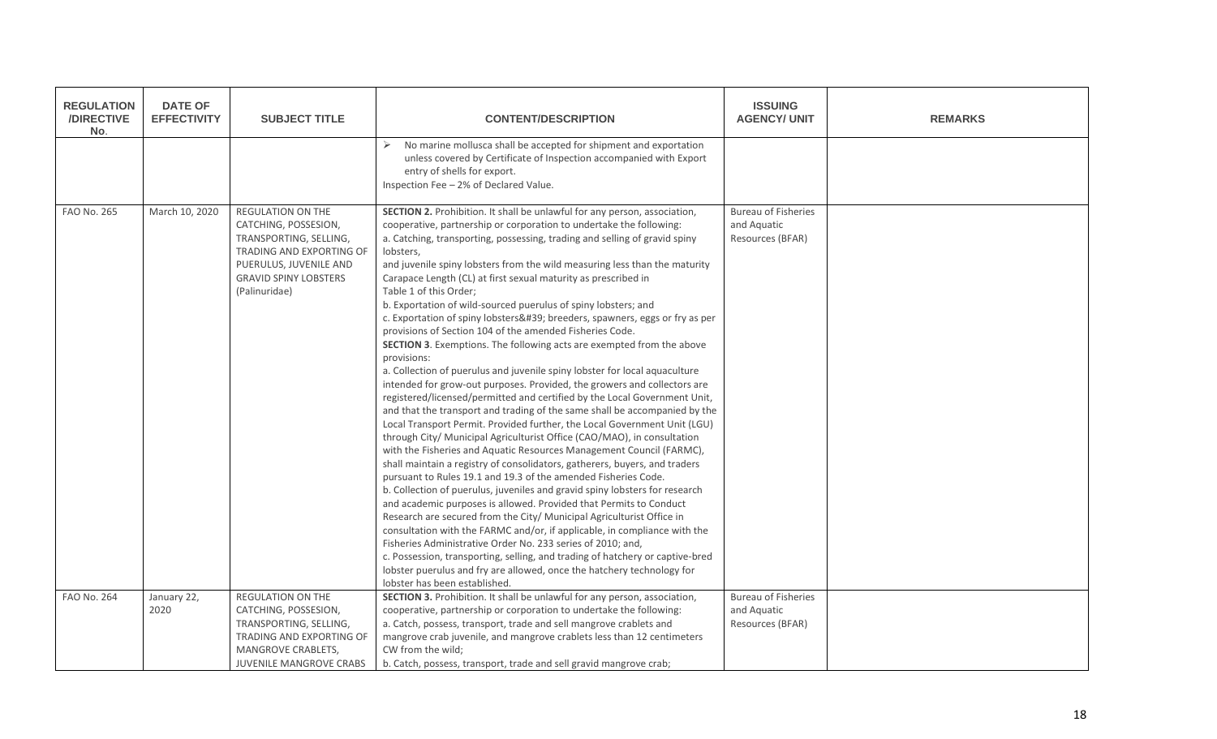| <b>REGULATION</b><br>/DIRECTIVE<br>No. | <b>DATE OF</b><br><b>EFFECTIVITY</b> | <b>SUBJECT TITLE</b>                                                                                                                                                              | <b>CONTENT/DESCRIPTION</b>                                                                                                                                                                                                                                                                                                                                                                                                                                                                                                                                                                                                                                                                                                                                                                                                                                                                                                                                                                                                                                                                                                                                                                                                                                                                                                                                                                                                                                                                                                                                                                                                                                                                                                                                                                                                                                                                                                                                                                                | <b>ISSUING</b><br><b>AGENCY/ UNIT</b>                         | <b>REMARKS</b> |
|----------------------------------------|--------------------------------------|-----------------------------------------------------------------------------------------------------------------------------------------------------------------------------------|-----------------------------------------------------------------------------------------------------------------------------------------------------------------------------------------------------------------------------------------------------------------------------------------------------------------------------------------------------------------------------------------------------------------------------------------------------------------------------------------------------------------------------------------------------------------------------------------------------------------------------------------------------------------------------------------------------------------------------------------------------------------------------------------------------------------------------------------------------------------------------------------------------------------------------------------------------------------------------------------------------------------------------------------------------------------------------------------------------------------------------------------------------------------------------------------------------------------------------------------------------------------------------------------------------------------------------------------------------------------------------------------------------------------------------------------------------------------------------------------------------------------------------------------------------------------------------------------------------------------------------------------------------------------------------------------------------------------------------------------------------------------------------------------------------------------------------------------------------------------------------------------------------------------------------------------------------------------------------------------------------------|---------------------------------------------------------------|----------------|
|                                        |                                      |                                                                                                                                                                                   | No marine mollusca shall be accepted for shipment and exportation<br>unless covered by Certificate of Inspection accompanied with Export<br>entry of shells for export.<br>Inspection Fee - 2% of Declared Value.                                                                                                                                                                                                                                                                                                                                                                                                                                                                                                                                                                                                                                                                                                                                                                                                                                                                                                                                                                                                                                                                                                                                                                                                                                                                                                                                                                                                                                                                                                                                                                                                                                                                                                                                                                                         |                                                               |                |
| <b>FAO No. 265</b>                     | March 10, 2020                       | <b>REGULATION ON THE</b><br>CATCHING, POSSESION,<br>TRANSPORTING, SELLING,<br>TRADING AND EXPORTING OF<br>PUERULUS, JUVENILE AND<br><b>GRAVID SPINY LOBSTERS</b><br>(Palinuridae) | SECTION 2. Prohibition. It shall be unlawful for any person, association,<br>cooperative, partnership or corporation to undertake the following:<br>a. Catching, transporting, possessing, trading and selling of gravid spiny<br>lobsters,<br>and juvenile spiny lobsters from the wild measuring less than the maturity<br>Carapace Length (CL) at first sexual maturity as prescribed in<br>Table 1 of this Order;<br>b. Exportation of wild-sourced puerulus of spiny lobsters; and<br>c. Exportation of spiny lobsters' breeders, spawners, eggs or fry as per<br>provisions of Section 104 of the amended Fisheries Code.<br><b>SECTION 3.</b> Exemptions. The following acts are exempted from the above<br>provisions:<br>a. Collection of puerulus and juvenile spiny lobster for local aquaculture<br>intended for grow-out purposes. Provided, the growers and collectors are<br>registered/licensed/permitted and certified by the Local Government Unit,<br>and that the transport and trading of the same shall be accompanied by the<br>Local Transport Permit. Provided further, the Local Government Unit (LGU)<br>through City/ Municipal Agriculturist Office (CAO/MAO), in consultation<br>with the Fisheries and Aquatic Resources Management Council (FARMC),<br>shall maintain a registry of consolidators, gatherers, buyers, and traders<br>pursuant to Rules 19.1 and 19.3 of the amended Fisheries Code.<br>b. Collection of puerulus, juveniles and gravid spiny lobsters for research<br>and academic purposes is allowed. Provided that Permits to Conduct<br>Research are secured from the City/ Municipal Agriculturist Office in<br>consultation with the FARMC and/or, if applicable, in compliance with the<br>Fisheries Administrative Order No. 233 series of 2010; and,<br>c. Possession, transporting, selling, and trading of hatchery or captive-bred<br>lobster puerulus and fry are allowed, once the hatchery technology for<br>lobster has been established. | <b>Bureau of Fisheries</b><br>and Aquatic<br>Resources (BFAR) |                |
| <b>FAO No. 264</b>                     | January 22,<br>2020                  | <b>REGULATION ON THE</b><br>CATCHING, POSSESION,<br>TRANSPORTING, SELLING,<br>TRADING AND EXPORTING OF<br><b>MANGROVE CRABLETS,</b><br><b>JUVENILE MANGROVE CRABS</b>             | SECTION 3. Prohibition. It shall be unlawful for any person, association,<br>cooperative, partnership or corporation to undertake the following:<br>a. Catch, possess, transport, trade and sell mangrove crablets and<br>mangrove crab juvenile, and mangrove crablets less than 12 centimeters<br>CW from the wild;<br>b. Catch, possess, transport, trade and sell gravid mangrove crab;                                                                                                                                                                                                                                                                                                                                                                                                                                                                                                                                                                                                                                                                                                                                                                                                                                                                                                                                                                                                                                                                                                                                                                                                                                                                                                                                                                                                                                                                                                                                                                                                               | <b>Bureau of Fisheries</b><br>and Aquatic<br>Resources (BFAR) |                |